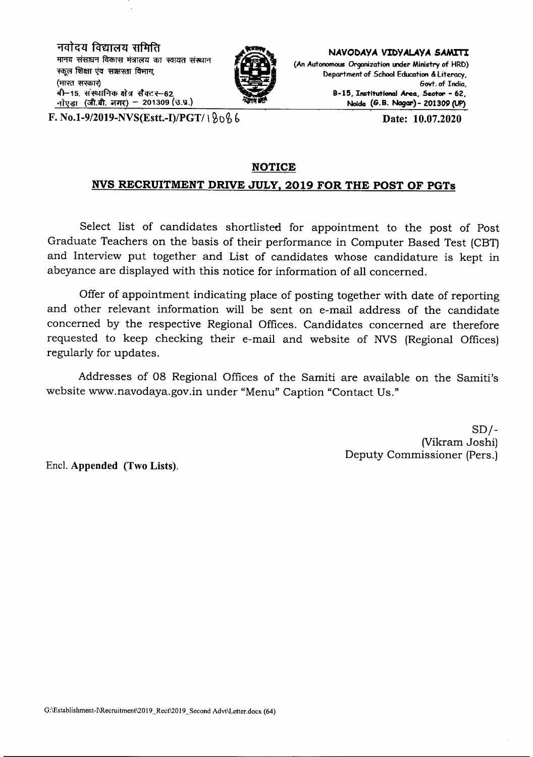नवोदय विद्यालय समिति मानव संसाधन विकास मंत्रालय का स्वायत संस्थान स्कूल शिक्षा एवं साक्षरता विभाग (भारत सरकार) .<br>बी-15. संस्थानिक क्षेत्र सैक्टर-62. नोएडा (जी.बी. नगर) - 201309 (उ.प.)



**NAVODAYA VIDYALAYA SAMITI** (An Autonomous Organization under Ministry of HRD) Department of School Education & literacy. 6ovt. of Indio, B-lS, Institutional Area, Sector - 62, Nolda (G.B. NagGr)- *201309* (UP)

F. *No.I-9/2019-NVS(Estt.-I)/PGTI \ ~()~* b Date: 10.07.2020

#### **NOTICE**

#### **NVS RECRUITMENT DRIVE JULY, 2019 FOR THE POST OF PGTs**

Select list of candidates shortlisted for appointment to the post of Post Graduate Teachers on the basis of their performance in Computer Based Test (CBT) and Interview put together and List of candidates whose candidature is kept in abeyance are displayed with this notice for information of all concerned.

Offer of appointment indicating place of posting together with date of reporting and other relevant information will be sent on e-mail address of the candidate concerned by the respective Regional Offices. Candidates concerned are therefore requested to keep checking their e-mail and website of NVS (Regional Offices) regularly for updates.

Addresses of 08 Regional Offices of the Samiti are available on the Samiti's website www.navodaya.gov.in under "Menu" Caption "Contact Us."

> $SD/-$ (Vikram Joshi) Deputy Commissioner (Pers.)

Encl. Appended (Two Lists).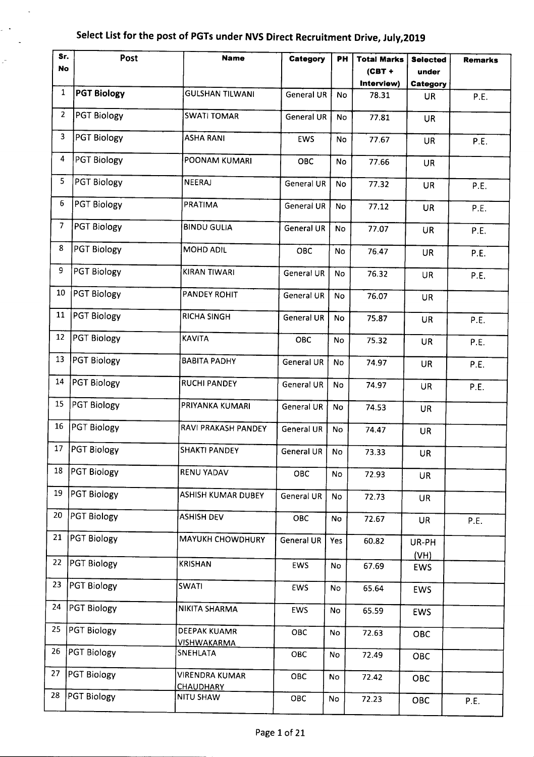$\ddot{\phantom{a}}$ 

 $\sim$  $\mathbb{Z}^2$ 

| Sr.             | Post               | <b>Name</b>                        | Category          | PH        | <b>Total Marks</b> | <b>Selected</b> | <b>Remarks</b> |
|-----------------|--------------------|------------------------------------|-------------------|-----------|--------------------|-----------------|----------------|
| No              |                    |                                    |                   |           | $(CBT +$           | under           |                |
|                 |                    |                                    |                   |           | Interview)         | Category        |                |
| 1               | <b>PGT Biology</b> | <b>GULSHAN TILWANI</b>             | <b>General UR</b> | No        | 78.31              | UR              | P.E.           |
| 2               | <b>PGT Biology</b> | <b>SWATI TOMAR</b>                 | General UR        | No        | 77.81              | <b>UR</b>       |                |
| 3               | <b>PGT Biology</b> | <b>ASHA RANI</b>                   | EWS               | No        | 77.67              | <b>UR</b>       | P.E.           |
| 4               | PGT Biology        | POONAM KUMARI                      | <b>OBC</b>        | <b>No</b> | 77.66              | <b>UR</b>       |                |
| 5               | PGT Biology        | NEERAJ                             | General UR        | No.       | 77.32              | <b>UR</b>       | P.E.           |
| 6               | <b>PGT Biology</b> | PRATIMA                            | General UR        | No        | 77.12              | <b>UR</b>       | P.E.           |
| $7\overline{ }$ | PGT Biology        | <b>BINDU GULIA</b>                 | General UR        | <b>No</b> | 77.07              | <b>UR</b>       | P.E.           |
| 8               | PGT Biology        | MOHD ADIL                          | OBC               | No        | 76.47              | <b>UR</b>       | P.E.           |
| 9               | PGT Biology        | KIRAN TIWARI                       | <b>General UR</b> | No        | 76.32              | <b>UR</b>       | P.E.           |
| 10              | PGT Biology        | PANDEY ROHIT                       | <b>General UR</b> | No        | 76.07              | <b>UR</b>       |                |
| 11              | PGT Biology        | <b>RICHA SINGH</b>                 | <b>General UR</b> | No        | 75.87              | <b>UR</b>       | P.E.           |
| 12              | PGT Biology        | <b>KAVITA</b>                      | <b>OBC</b>        | No        | 75.32              | <b>UR</b>       | P.E.           |
| 13              | PGT Biology        | <b>BABITA PADHY</b>                | General UR        | No        | 74.97              | <b>UR</b>       | P.E.           |
| 14              | <b>PGT Biology</b> | <b>RUCHI PANDEY</b>                | General UR        | No        | 74.97              | <b>UR</b>       | P.E.           |
| 15              | PGT Biology        | PRIYANKA KUMARI                    | <b>General UR</b> | No        | 74.53              | <b>UR</b>       |                |
| 16              | PGT Biology        | RAVI PRAKASH PANDEY                | <b>General UR</b> | No        | 74.47              | <b>UR</b>       |                |
| 17              | <b>PGT Biology</b> | <b>SHAKTI PANDEY</b>               | General UR        | No        | 73.33              | <b>UR</b>       |                |
| 18              | PGT Biology        | RENU YADAV                         | OBC               | No        | 72.93              | <b>UR</b>       |                |
| 19              | PGT Biology        | ASHISH KUMAR DUBEY                 | General UR        | <b>No</b> | 72.73              | <b>UR</b>       |                |
| 20              | PGT Biology        | <b>ASHISH DEV</b>                  | OBC               | No        | 72.67              | <b>UR</b>       | P.E.           |
| 21              | PGT Biology        | <b>MAYUKH CHOWDHURY</b>            | <b>General UR</b> | Yes       | 60.82              | UR-PH<br>(VH)   |                |
| 22              | <b>PGT Biology</b> | <b>KRISHAN</b>                     | <b>EWS</b>        | No        | 67.69              | <b>EWS</b>      |                |
| 23              | PGT Biology        | <b>SWATI</b>                       | EWS               | No        | 65.64              | <b>EWS</b>      |                |
| 24              | <b>PGT Biology</b> | NIKITA SHARMA                      | <b>EWS</b>        | No        | 65.59              | <b>EWS</b>      |                |
| 25              | <b>PGT Biology</b> | DEEPAK KUAMR<br><b>VISHWAKARMA</b> | OBC               | No        | 72.63              | OBC             |                |
| 26              | <b>PGT Biology</b> | SNEHLATA                           | OBC               | No        | 72.49              | OBC             |                |
| 27              | <b>PGT Biology</b> | VIRENDRA KUMAR<br><b>CHAUDHARY</b> | OBC               | No        | 72.42              | OBC             |                |
| 28              | <b>PGT Biology</b> | <b>NITU SHAW</b>                   | OBC               | No        | 72.23              | OBC             | P.E.           |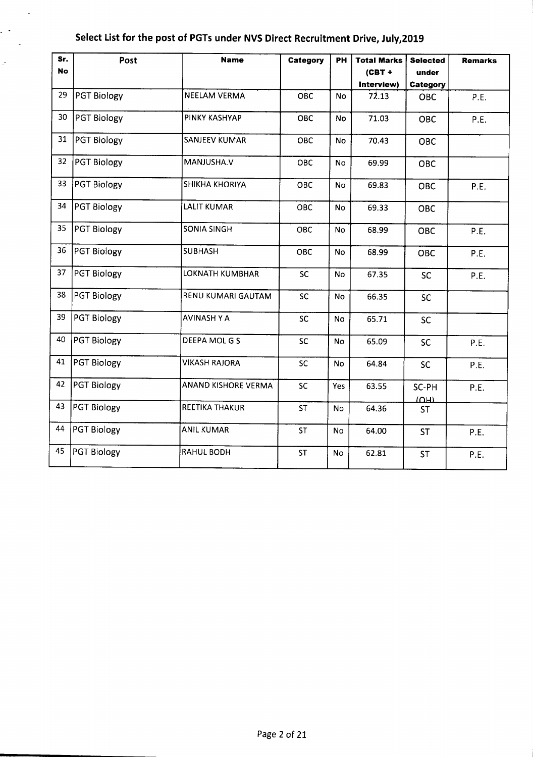$\sim$ 

 $\mathcal{L}(\mathbf{r})$  $\sim$ 

| Sr.<br><b>No</b> | Post               | <b>Name</b>            | Category   | PН        | <b>Total Marks</b><br>$(CBT +$<br>Interview) | <b>Selected</b><br>under<br>Category | <b>Remarks</b> |
|------------------|--------------------|------------------------|------------|-----------|----------------------------------------------|--------------------------------------|----------------|
| 29               | PGT Biology        | <b>NEELAM VERMA</b>    | <b>OBC</b> | No        | 72.13                                        | OBC                                  | P.E.           |
| 30               | PGT Biology        | PINKY KASHYAP          | OBC        | No        | 71.03                                        | <b>OBC</b>                           | P.E.           |
| 31               | <b>PGT Biology</b> | <b>SANJEEV KUMAR</b>   | OBC        | No        | 70.43                                        | <b>OBC</b>                           |                |
| 32               | PGT Biology        | MANJUSHA.V             | OBC        | No        | 69.99                                        | OBC                                  |                |
| 33               | PGT Biology        | <b>SHIKHA KHORIYA</b>  | OBC        | No        | 69.83                                        | <b>OBC</b>                           | P.E.           |
| 34               | PGT Biology        | <b>LALIT KUMAR</b>     | OBC        | No        | 69.33                                        | OBC                                  |                |
| 35               | <b>PGT Biology</b> | <b>SONIA SINGH</b>     | OBC        | No        | 68.99                                        | OBC                                  | P.E.           |
| 36               | PGT Biology        | <b>SUBHASH</b>         | OBC        | No        | 68.99                                        | OBC                                  | P.E.           |
| 37               | PGT Biology        | <b>LOKNATH KUMBHAR</b> | <b>SC</b>  | <b>No</b> | 67.35                                        | <b>SC</b>                            | P.E.           |
| 38               | PGT Biology        | RENU KUMARI GAUTAM     | <b>SC</b>  | <b>No</b> | 66.35                                        | <b>SC</b>                            |                |
| 39               | PGT Biology        | <b>AVINASH Y A</b>     | SC         | <b>No</b> | 65.71                                        | <b>SC</b>                            |                |
| 40               | PGT Biology        | DEEPA MOL G S          | SC         | <b>No</b> | 65.09                                        | <b>SC</b>                            | P.E.           |
| 41               | PGT Biology        | <b>VIKASH RAJORA</b>   | <b>SC</b>  | No        | 64.84                                        | <b>SC</b>                            | P.E.           |
| 42               | PGT Biology        | ANAND KISHORE VERMA    | <b>SC</b>  | Yes       | 63.55                                        | SC-PH                                | P.E.           |
| 43               | PGT Biology        | <b>REETIKA THAKUR</b>  | ST         | No        | 64.36                                        | $\overline{\text{U}}$ т<br><b>ST</b> |                |
| 44               | PGT Biology        | <b>ANIL KUMAR</b>      | <b>ST</b>  | No        | 64.00                                        | <b>ST</b>                            | P.E.           |
| 45               | PGT Biology        | <b>RAHUL BODH</b>      | <b>ST</b>  | No        | 62.81                                        | <b>ST</b>                            | P.E.           |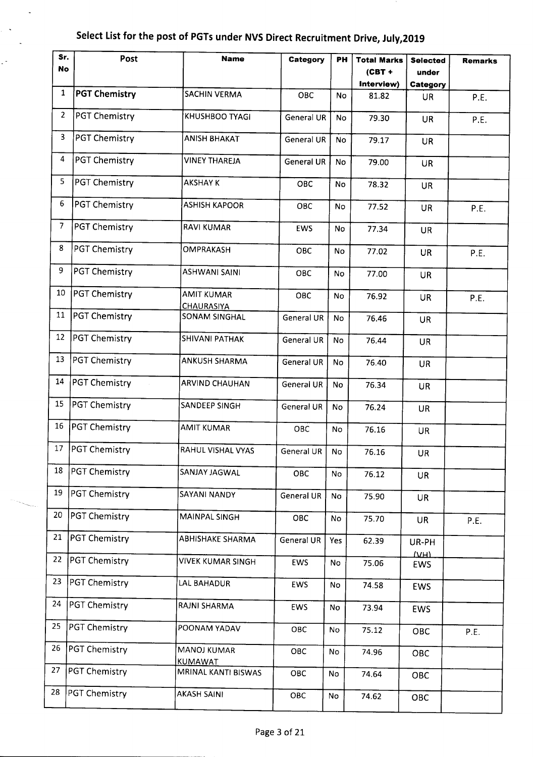$\ddot{\phantom{a}}$ 

 $\sim$ 

| Sr.            | Post                 | <b>Name</b>                            | Category          | PН        | <b>Total Marks</b> | <b>Selected</b>         | <b>Remarks</b> |
|----------------|----------------------|----------------------------------------|-------------------|-----------|--------------------|-------------------------|----------------|
| No             |                      |                                        |                   |           | $(CBT +$           | under                   |                |
|                |                      |                                        |                   |           | Interview)         | Category                |                |
| $\mathbf{1}$   | <b>PGT Chemistry</b> | <b>SACHIN VERMA</b>                    | OBC               | <b>No</b> | 81.82              | <b>UR</b>               | P.E.           |
| $\overline{2}$ | PGT Chemistry        | KHUSHBOO TYAGI                         | General UR        | No        | 79.30              | <b>UR</b>               | P.E.           |
| 3              | <b>PGT Chemistry</b> | <b>ANISH BHAKAT</b>                    | General UR        | <b>No</b> | 79.17              | <b>UR</b>               |                |
| 4              | <b>PGT Chemistry</b> | VINEY THAREJA                          | General UR        | No        | 79.00              | <b>UR</b>               |                |
| 5              | <b>PGT Chemistry</b> | <b>AKSHAY K</b>                        | OBC               | <b>No</b> | 78.32              | <b>UR</b>               |                |
| 6              | <b>PGT Chemistry</b> | <b>ASHISH KAPOOR</b>                   | OBC               | <b>No</b> | 77.52              | <b>UR</b>               | P.E.           |
| 7              | PGT Chemistry        | <b>RAVI KUMAR</b>                      | EWS               | <b>No</b> | 77.34              | <b>UR</b>               |                |
| 8              | PGT Chemistry        | <b>OMPRAKASH</b>                       | OBC               | No        | 77.02              | UR                      | P.E.           |
| 9              | <b>PGT Chemistry</b> | <b>ASHWANI SAINI</b>                   | <b>OBC</b>        | No.       | 77.00              | <b>UR</b>               |                |
| 10             | <b>PGT Chemistry</b> | <b>AMIT KUMAR</b><br><b>CHAURASIYA</b> | OBC               | <b>No</b> | 76.92              | <b>UR</b>               | P.E.           |
| 11             | <b>PGT Chemistry</b> | <b>SONAM SINGHAL</b>                   | <b>General UR</b> | <b>No</b> | 76.46              | <b>UR</b>               |                |
| 12             | PGT Chemistry        | <b>SHIVANI PATHAK</b>                  | General UR        | No        | 76.44              | <b>UR</b>               |                |
| 13             | PGT Chemistry        | <b>ANKUSH SHARMA</b>                   | <b>General UR</b> | <b>No</b> | 76.40              | <b>UR</b>               |                |
| 14             | <b>PGT Chemistry</b> | <b>ARVIND CHAUHAN</b>                  | <b>General UR</b> | No        | 76.34              | <b>UR</b>               |                |
| 15             | PGT Chemistry        | SANDEEP SINGH                          | <b>General UR</b> | No        | 76.24              | <b>UR</b>               |                |
| 16             | PGT Chemistry        | <b>AMIT KUMAR</b>                      | OBC               | No        | 76.16              | <b>UR</b>               |                |
| 17             | <b>PGT Chemistry</b> | RAHUL VISHAL VYAS                      | General UR        | No        | 76.16              | <b>UR</b>               |                |
| 18             | PGT Chemistry        | SANJAY JAGWAL                          | OBC               | No        | 76.12              | <b>UR</b>               |                |
| 19             | <b>PGT Chemistry</b> | SAYANI NANDY                           | General UR        | No        | 75.90              | UR.                     |                |
| 20             | PGT Chemistry        | MAINPAL SINGH                          | OBC               | No        | 75.70              | <b>UR</b>               | P.E.           |
| 21             | <b>PGT Chemistry</b> | <b>ABHISHAKE SHARMA</b>                | <b>General UR</b> | Yes       | 62.39              | UR-PH<br>M <sub>H</sub> |                |
| 22             | PGT Chemistry        | <b>VIVEK KUMAR SINGH</b>               | <b>EWS</b>        | No        | 75.06              | EWS                     |                |
| 23             | <b>PGT Chemistry</b> | LAL BAHADUR                            | EWS               | No        | 74.58              | <b>EWS</b>              |                |
| 24             | <b>PGT Chemistry</b> | RAJNI SHARMA                           | EWS               | No        | 73.94              | <b>EWS</b>              |                |
| 25             | PGT Chemistry        | POONAM YADAV                           | OBC               | No        | 75.12              | OBC                     | P.E.           |
| 26             | PGT Chemistry        | <b>MANOJ KUMAR</b><br>KUMAWAT          | OBC               | No        | 74.96              | OBC                     |                |
| 27             | PGT Chemistry        | MRINAL KANTI BISWAS                    | ОВС               | No        | 74.64              | OBC                     |                |
| 28             | PGT Chemistry        | <b>AKASH SAINI</b>                     | OBC               | No        | 74.62              | OBC                     |                |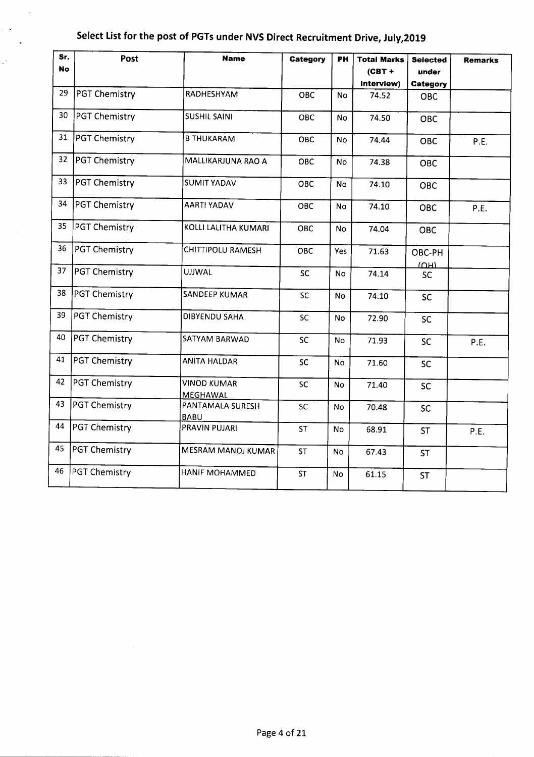$\lambda$ 

 $\sim$   $\sim$  $\ddot{\phantom{a}}$ 

Ļ,

| Sr.<br>No | Post                 | <b>Name</b>                     | Category   | PH        | <b>Total Marks</b><br>$(CBT +$<br>Interview) | <b>Selected</b><br>under<br>Category | <b>Remarks</b> |
|-----------|----------------------|---------------------------------|------------|-----------|----------------------------------------------|--------------------------------------|----------------|
| 29        | <b>PGT Chemistry</b> | RADHESHYAM                      | <b>OBC</b> | <b>No</b> | 74.52                                        | <b>OBC</b>                           |                |
| 30        | <b>PGT Chemistry</b> | <b>SUSHIL SAINI</b>             | <b>OBC</b> | No.       | 74.50                                        | <b>OBC</b>                           |                |
| 31        | <b>PGT Chemistry</b> | <b>B THUKARAM</b>               | ОВС        | No        | 74.44                                        | <b>OBC</b>                           | P.E.           |
| 32        | PGT Chemistry        | MALLIKARJUNA RAO A              | OBC        | No        | 74.38                                        | <b>OBC</b>                           |                |
| 33        | PGT Chemistry        | <b>SUMIT YADAV</b>              | OBC        | No        | 74.10                                        | OBC                                  |                |
| 34        | PGT Chemistry        | <b>AARTI YADAV</b>              | OBC        | No.       | 74.10                                        | <b>OBC</b>                           | P.E.           |
| 35        | PGT Chemistry        | KOLLI LALITHA KUMARI            | <b>OBC</b> | No        | 74.04                                        | OBC                                  |                |
| 36        | PGT Chemistry        | CHITTIPOLU RAMESH               | <b>OBC</b> | Yes       | 71.63                                        | OBC-PH                               |                |
| 37        | PGT Chemistry        | <b>UJJWAL</b>                   | SC         | No        | 74.14                                        | IOM<br><b>SC</b>                     |                |
| 38        | PGT Chemistry        | <b>SANDEEP KUMAR</b>            | <b>SC</b>  | No        | 74.10                                        | <b>SC</b>                            |                |
| 39        | <b>PGT Chemistry</b> | <b>DIBYENDU SAHA</b>            | SC         | <b>No</b> | 72.90                                        | <b>SC</b>                            |                |
| 40        | <b>PGT Chemistry</b> | SATYAM BARWAD                   | SC         | <b>No</b> | 71.93                                        | <b>SC</b>                            | P.E.           |
| 41        | PGT Chemistry        | <b>ANITA HALDAR</b>             | <b>SC</b>  | <b>No</b> | 71.60                                        | <b>SC</b>                            |                |
| 42        | PGT Chemistry        | <b>VINOD KUMAR</b><br>MEGHAWAL  | SC         | No.       | 71.40                                        | <b>SC</b>                            |                |
| 43        | PGT Chemistry        | PANTAMALA SURESH<br><b>BABU</b> | <b>SC</b>  | No.       | 70.48                                        | <b>SC</b>                            |                |
| 44        | PGT Chemistry        | PRAVIN PUJARI                   | <b>ST</b>  | No        | 68.91                                        | <b>ST</b>                            | P.E.           |
| 45        | PGT Chemistry        | <b>MESRAM MANOJ KUMAR</b>       | <b>ST</b>  | No        | 67.43                                        | <b>ST</b>                            |                |
| 46        | PGT Chemistry        | HANIF MOHAMMED                  | <b>ST</b>  | No        | 61.15                                        | <b>ST</b>                            |                |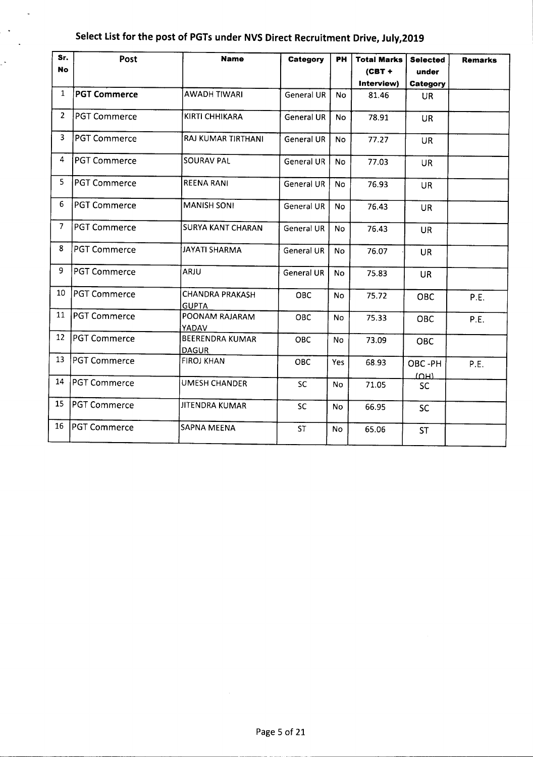$\bar{\phantom{a}}$ 

 $\mathbf{A}$  $\ddot{\phantom{1}}$ 

| Sr.            | Post                | <b>Name</b>                            | Category          | PH         | <b>Total Marks</b> | <b>Selected</b> | <b>Remarks</b> |
|----------------|---------------------|----------------------------------------|-------------------|------------|--------------------|-----------------|----------------|
| <b>No</b>      |                     |                                        |                   |            | $(CBT +$           | under           |                |
|                |                     |                                        |                   |            | Interview)         | Category        |                |
| 1              | <b>PGT Commerce</b> | <b>AWADH TIWARI</b>                    | <b>General UR</b> | <b>No</b>  | 81.46              | <b>UR</b>       |                |
| 2              | <b>PGT Commerce</b> | KIRTI CHHIKARA                         | <b>General UR</b> | <b>No</b>  | 78.91              | <b>UR</b>       |                |
| 3              | <b>PGT Commerce</b> | RAJ KUMAR TIRTHANI                     | General UR        | No         | 77.27              | UR              |                |
| 4              | <b>PGT Commerce</b> | <b>SOURAV PAL</b>                      | General UR        | No.        | 77.03              | UR.             |                |
| 5              | <b>PGT Commerce</b> | <b>REENA RANI</b>                      | General UR        | No         | 76.93              | <b>UR</b>       |                |
| 6              | <b>PGT Commerce</b> | <b>MANISH SONI</b>                     | General UR        | <b>No</b>  | 76.43              | <b>UR</b>       |                |
| $\overline{7}$ | <b>PGT Commerce</b> | <b>SURYA KANT CHARAN</b>               | General UR        | <b>No</b>  | 76.43              | <b>UR</b>       |                |
| 8              | <b>PGT Commerce</b> | <b>JAYATI SHARMA</b>                   | <b>General UR</b> | No         | 76.07              | <b>UR</b>       |                |
| 9              | PGT Commerce        | <b>ARJU</b>                            | <b>General UR</b> | <b>No</b>  | 75.83              | <b>UR</b>       |                |
| 10             | PGT Commerce        | <b>CHANDRA PRAKASH</b><br><b>GUPTA</b> | <b>OBC</b>        | <b>No</b>  | 75.72              | <b>OBC</b>      | P.E.           |
| 11             | <b>PGT Commerce</b> | POONAM RAJARAM<br>YADAV                | OBC               | No         | 75.33              | <b>OBC</b>      | P.E.           |
| 12             | IPGT Commerce       | BEERENDRA KUMAR<br><b>DAGUR</b>        | <b>OBC</b>        | <b>No</b>  | 73.09              | <b>OBC</b>      |                |
| 13             | PGT Commerce        | <b>FIROJ KHAN</b>                      | OBC               | <b>Yes</b> | 68.93              | OBC-PH<br>ומחו  | P.E.           |
| 14             | <b>PGT Commerce</b> | UMESH CHANDER                          | <b>SC</b>         | <b>No</b>  | 71.05              | <b>SC</b>       |                |
| 15             | <b>PGT Commerce</b> | <b>JITENDRA KUMAR</b>                  | <b>SC</b>         | <b>No</b>  | 66.95              | <b>SC</b>       |                |
| 16             | <b>PGT Commerce</b> | <b>SAPNA MEENA</b>                     | <b>ST</b>         | <b>No</b>  | 65.06              | <b>ST</b>       |                |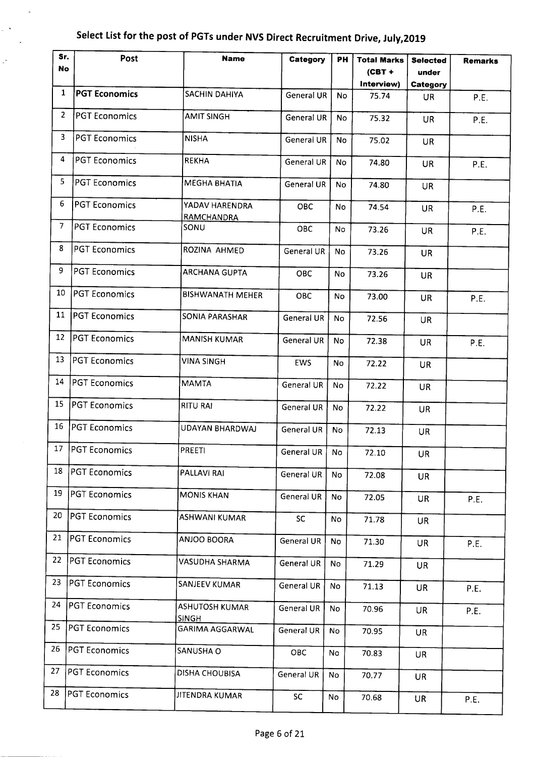$\ddot{\phantom{a}}$ 

 $\frac{1}{2}$  $\mathcal{L}$ 

Ç,

| Sr.<br>No      | Post                 | <b>Name</b>                    | Category          | PН             | <b>Total Marks</b><br>$(CBT +$ | <b>Selected</b><br>under | <b>Remarks</b> |
|----------------|----------------------|--------------------------------|-------------------|----------------|--------------------------------|--------------------------|----------------|
|                |                      |                                |                   |                | Interview)                     | Category                 |                |
| $\mathbf{1}$   | <b>PGT Economics</b> | <b>SACHIN DAHIYA</b>           | General UR        | <b>No</b>      | 75.74                          | <b>UR</b>                | P.E.           |
| $\overline{2}$ | <b>PGT Economics</b> | <b>AMIT SINGH</b>              | <b>General UR</b> | <b>No</b>      | 75.32                          | <b>UR</b>                | P.E.           |
| 3              | <b>PGT Economics</b> | <b>NISHA</b>                   | General UR        | <b>No</b>      | 75.02                          | <b>UR</b>                |                |
| 4              | <b>PGT Economics</b> | <b>REKHA</b>                   | General UR        | No             | 74.80                          | <b>UR</b>                | P.E.           |
| 5              | <b>PGT Economics</b> | MEGHA BHATIA                   | General UR        | No.            | 74.80                          | <b>UR</b>                |                |
| 6              | <b>PGT Economics</b> | YADAV HARENDRA<br>RAMCHANDRA   | OBC               | <b>No</b>      | 74.54                          | <b>UR</b>                | P.E.           |
| 7              | <b>PGT Economics</b> | SONU                           | OBC               | <b>No</b>      | 73.26                          | <b>UR</b>                | P.E.           |
| 8              | <b>PGT Economics</b> | ROZINA AHMED                   | <b>General UR</b> | <b>No</b>      | 73.26                          | UR                       |                |
| 9              | <b>PGT Economics</b> | <b>ARCHANA GUPTA</b>           | <b>OBC</b>        | N <sub>o</sub> | 73.26                          | <b>UR</b>                |                |
| 10             | <b>PGT Economics</b> | <b>BISHWANATH MEHER</b>        | <b>OBC</b>        | <b>No</b>      | 73.00                          | UR.                      | P.E.           |
| 11             | <b>PGT Economics</b> | <b>SONIA PARASHAR</b>          | General UR        | <b>No</b>      | 72.56                          | UR.                      |                |
| 12             | <b>PGT Economics</b> | <b>MANISH KUMAR</b>            | <b>General UR</b> | No             | 72.38                          | <b>UR</b>                | P.E.           |
| 13             | <b>PGT Economics</b> | <b>VINA SINGH</b>              | <b>EWS</b>        | <b>No</b>      | 72.22                          | <b>UR</b>                |                |
| 14             | <b>PGT Economics</b> | <b>MAMTA</b>                   | <b>General UR</b> | <b>No</b>      | 72.22                          | <b>UR</b>                |                |
| 15             | <b>PGT Economics</b> | <b>RITU RAI</b>                | <b>General UR</b> | <b>No</b>      | 72.22                          | UR                       |                |
| 16             | PGT Economics        | UDAYAN BHARDWAJ                | General UR        | <b>No</b>      | 72.13                          | UR.                      |                |
| 17             | <b>PGT Economics</b> | <b>PREETI</b>                  | General UR        | No             | 72.10                          | UR                       |                |
| 18             | <b>PGT Economics</b> | PALLAVI RAI                    | General UR        | No             | 72.08                          | <b>UR</b>                |                |
| 19             | <b>PGT Economics</b> | <b>MONIS KHAN</b>              | General UR        | No             | 72.05                          | <b>UR</b>                | P.E.           |
| 20             | <b>PGT Economics</b> | <b>ASHWANI KUMAR</b>           | SC                | No             | 71.78                          | <b>UR</b>                |                |
| 21             | <b>PGT Economics</b> | <b>ANJOO BOORA</b>             | General UR        | No             | 71.30                          | UR                       | P.E.           |
| 22             | PGT Economics        | VASUDHA SHARMA                 | <b>General UR</b> | No             | 71.29                          | <b>UR</b>                |                |
| 23             | <b>PGT Economics</b> | SANJEEV KUMAR                  | General UR        | No.            | 71.13                          | UR                       | P.E.           |
| 24             | <b>PGT Economics</b> | ASHUTOSH KUMAR<br><b>SINGH</b> | General UR        | No             | 70.96                          | UR                       | P.E.           |
| 25             | <b>PGT Economics</b> | <b>GARIMA AGGARWAL</b>         | General UR        | No             | 70.95                          | <b>UR</b>                |                |
| 26             | PGT Economics        | SANUSHA O                      | OBC               | No             | 70.83                          | <b>UR</b>                |                |
| 27             | <b>PGT Economics</b> | DISHA CHOUBISA                 | General UR        | No             | 70.77                          | <b>UR</b>                |                |
| 28             | <b>PGT Economics</b> | JITENDRA KUMAR                 | SC                | No             | 70.68                          | <b>UR</b>                | P.E.           |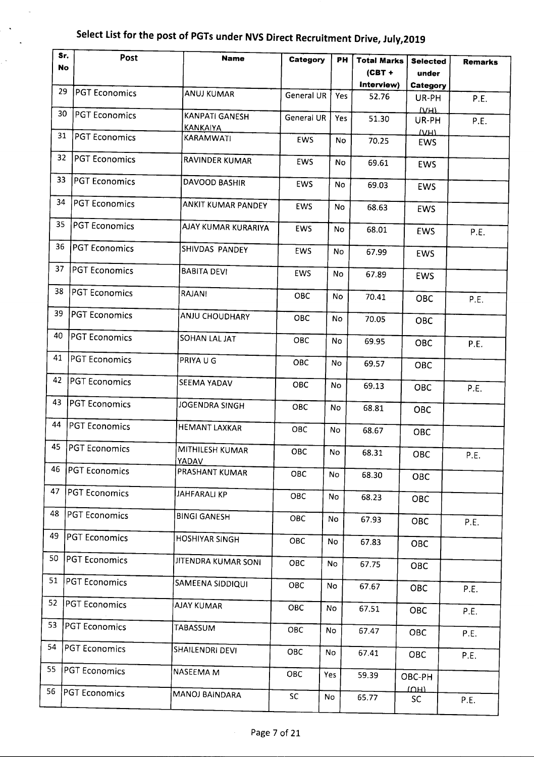$\overline{a}$ 

 $\ddot{\phantom{1}}$ 

j.

| Sr.<br><b>No</b> | Post                 | <b>Name</b>                              | Category          | PН        | <b>Total Marks</b><br>$(CBT +$ | <b>Selected</b><br>under | <b>Remarks</b> |
|------------------|----------------------|------------------------------------------|-------------------|-----------|--------------------------------|--------------------------|----------------|
| 29               | <b>PGT Economics</b> | <b>ANUJ KUMAR</b>                        | <b>General UR</b> | Yes       | Interview)<br>52.76            | Category                 |                |
| 30               |                      |                                          |                   |           |                                | UR-PH<br>T               | P.E.           |
|                  | <b>PGT Economics</b> | <b>KANPATI GANESH</b><br><u>KANKAIYA</u> | General UR        | Yes       | 51.30                          | UR-PH                    | P.E.           |
| 31               | <b>PGT Economics</b> | KARAMWATI                                | EWS               | <b>No</b> | 70.25                          | $\Delta H$<br><b>EWS</b> |                |
| 32               | <b>PGT Economics</b> | <b>RAVINDER KUMAR</b>                    | <b>EWS</b>        | No        | 69.61                          | <b>EWS</b>               |                |
| 33               | <b>PGT Economics</b> | DAVOOD BASHIR                            | EWS               | No        | 69.03                          | EWS                      |                |
| 34               | <b>PGT Economics</b> | ANKIT KUMAR PANDEY                       | EWS               | No        | 68.63                          | EWS                      |                |
| 35               | <b>PGT Economics</b> | AJAY KUMAR KURARIYA                      | EWS               | No        | 68.01                          | EWS                      | P.E.           |
| 36               | <b>PGT Economics</b> | SHIVDAS PANDEY                           | EWS               | No        | 67.99                          | <b>EWS</b>               |                |
| 37               | PGT Economics        | <b>BABITA DEVI</b>                       | EWS               | No        | 67.89                          | <b>EWS</b>               |                |
| 38               | PGT Economics        | <b>RAJANI</b>                            | <b>OBC</b>        | <b>No</b> | 70.41                          | <b>OBC</b>               | P.E.           |
| 39               | <b>PGT Economics</b> | <b>ANJU CHOUDHARY</b>                    | OBC               | No.       | 70.05                          | OBC                      |                |
| 40               | PGT Economics        | SOHAN LAL JAT                            | OBC               | No        | 69.95                          | <b>OBC</b>               | P.E.           |
| 41               | <b>PGT Economics</b> | PRIYA U G                                | OBC               | No        | 69.57                          | OBC                      |                |
| 42               | <b>PGT Economics</b> | <b>SEEMA YADAV</b>                       | OBC               | No        | 69.13                          | OBC                      | P.E.           |
| 43               | PGT Economics        | JOGENDRA SINGH                           | OBC               | No        | 68.81                          | <b>OBC</b>               |                |
| 44               | <b>PGT Economics</b> | <b>HEMANT LAXKAR</b>                     | OBC               | No        | 68.67                          | OBC                      |                |
| 45               | PGT Economics        | MITHILESH KUMAR<br>YADAV                 | <b>OBC</b>        | No        | 68.31                          | OBC                      | P.E.           |
| 46               | <b>PGT Economics</b> | PRASHANT KUMAR                           | OBC               | No        | 68.30                          | OBC                      |                |
| 47               | <b>PGT Economics</b> | <b>JAHFARALI KP</b>                      | OBC               | No        | 68.23                          | OBC                      |                |
| 48               | <b>PGT Economics</b> | <b>BINGI GANESH</b>                      | OBC               | No        | 67.93                          | OBC                      | P.E.           |
| 49               | <b>PGT Economics</b> | <b>HOSHIYAR SINGH</b>                    | OBC               | No        | 67.83                          | OBC                      |                |
| 50               | <b>PGT Economics</b> | JITENDRA KUMAR SONI                      | ОВС               | No        | 67.75                          | OBC                      |                |
| 51               | PGT Economics        | SAMEENA SIDDIQUI                         | OBC               | No        | 67.67                          | <b>OBC</b>               | P.E.           |
| 52               | <b>PGT Economics</b> | <b>AJAY KUMAR</b>                        | OBC               | No        | 67.51                          | OBC                      | P.E.           |
| 53               | <b>PGT Economics</b> | TABASSUM                                 | ОВС               | No        | 67.47                          | OBC                      | P.E.           |
| 54               | <b>PGT Economics</b> | SHAILENDRI DEVI                          | OBC               | No        | 67.41                          | OBC                      | P.E.           |
| 55               | <b>PGT Economics</b> | NASEEMA M                                | OBC               | Yes       | 59.39                          | OBC-PH                   |                |
| 56               | PGT Economics        | <b>MANOJ BAINDARA</b>                    | SC                | No        | 65.77                          | त्त्वमा<br><b>SC</b>     | P.E.           |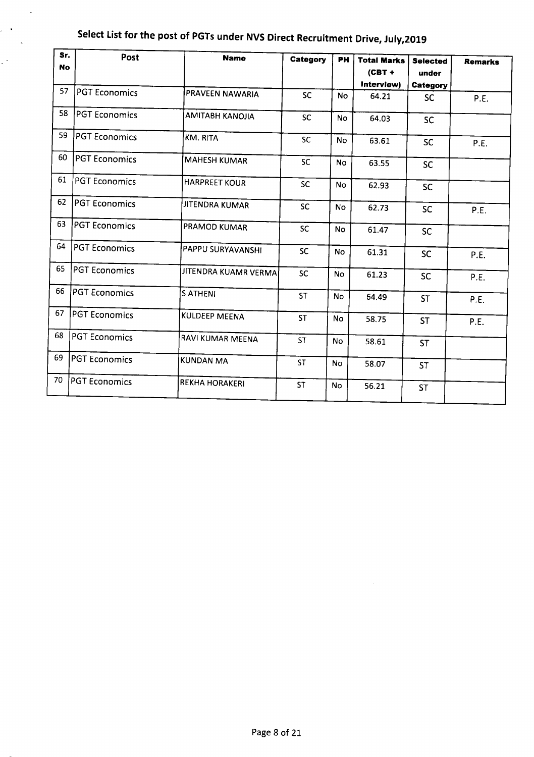| Sr.<br><b>No</b> | Post                 | <b>Name</b>            | Category  | <b>PH</b> | <b>Total Marks</b><br>$(CBT +$ | <b>Selected</b><br>under | <b>Remarks</b> |
|------------------|----------------------|------------------------|-----------|-----------|--------------------------------|--------------------------|----------------|
| 57               | PGT Economics        |                        |           |           | Interview)                     | Category                 |                |
|                  |                      | PRAVEEN NAWARIA        | <b>SC</b> | <b>No</b> | 64.21                          | <b>SC</b>                | P.E.           |
| 58               | PGT Economics        | <b>AMITABH KANOJIA</b> | <b>SC</b> | <b>No</b> | 64.03                          | <b>SC</b>                |                |
| 59               | <b>PGT Economics</b> | KM. RITA               | <b>SC</b> | No        | 63.61                          | <b>SC</b>                | P.E.           |
| 60               | <b>PGT Economics</b> | <b>MAHESH KUMAR</b>    | <b>SC</b> | <b>No</b> | 63.55                          | <b>SC</b>                |                |
| 61               | <b>PGT Economics</b> | <b>HARPREET KOUR</b>   | SC        | No        | 62.93                          | <b>SC</b>                |                |
| 62               | <b>PGT Economics</b> | JITENDRA KUMAR         | <b>SC</b> | <b>No</b> | 62.73                          | <b>SC</b>                | P.E.           |
| 63               | <b>PGT Economics</b> | <b>PRAMOD KUMAR</b>    | <b>SC</b> | <b>No</b> | 61.47                          | <b>SC</b>                |                |
| 64               | <b>PGT Economics</b> | PAPPU SURYAVANSHI      | <b>SC</b> | No        | 61.31                          | <b>SC</b>                | P.E.           |
| 65               | <b>PGT Economics</b> | JITENDRA KUAMR VERMA   | <b>SC</b> | <b>No</b> | 61.23                          | <b>SC</b>                | P.E.           |
| 66               | <b>PGT Economics</b> | <b>SATHENI</b>         | <b>ST</b> | <b>No</b> | 64.49                          | <b>ST</b>                | P.E.           |
| 67               | PGT Economics        | <b>KULDEEP MEENA</b>   | <b>ST</b> | <b>No</b> | 58.75                          | <b>ST</b>                | P.E.           |
| 68               | <b>PGT Economics</b> | RAVI KUMAR MEENA       | <b>ST</b> | <b>No</b> | 58.61                          | <b>ST</b>                |                |
| 69               | <b>PGT Economics</b> | <b>KUNDAN MA</b>       | <b>ST</b> | No        | 58.07                          | <b>ST</b>                |                |
| 70               | <b>PGT Economics</b> | <b>REKHA HORAKERI</b>  | <b>ST</b> | No        | 56.21                          | <b>ST</b>                |                |

 $\bar{\phantom{a}}$ 

 $\mathbb{R}^{\mathbb{Z}^2}$  $\sim$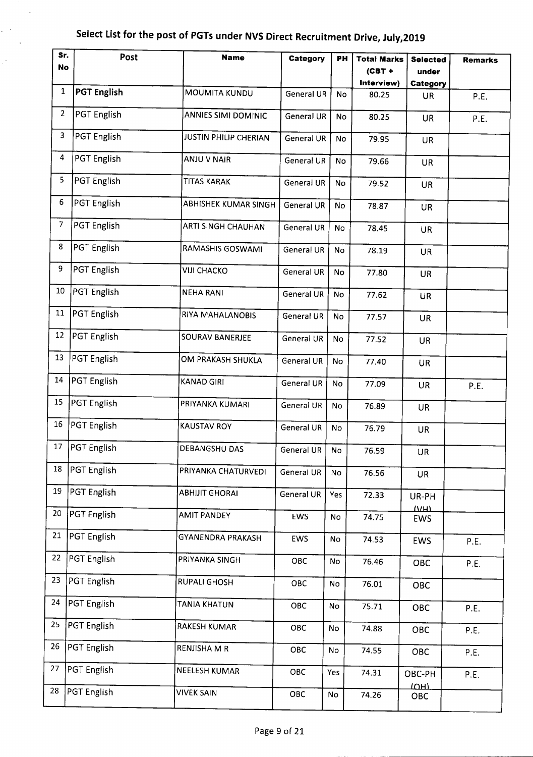$\bar{z}$ 

 $\sim$ 

| Sr. | Post               | <b>Name</b>                | Category          | PН        | <b>Total Marks</b> | <b>Selected</b>                      | <b>Remarks</b> |
|-----|--------------------|----------------------------|-------------------|-----------|--------------------|--------------------------------------|----------------|
| No  |                    |                            |                   |           | $(CBT +$           | under                                |                |
|     |                    |                            |                   |           | Interview)         | Category                             |                |
| 1   | <b>PGT English</b> | <b>MOUMITA KUNDU</b>       | <b>General UR</b> | No        | 80.25              | <b>UR</b>                            | P.E.           |
| 2   | <b>PGT English</b> | <b>ANNIES SIMI DOMINIC</b> | <b>General UR</b> | No        | 80.25              | <b>UR</b>                            | P.E.           |
| 3   | PGT English        | JUSTIN PHILIP CHERIAN      | General UR        | No        | 79.95              | <b>UR</b>                            |                |
| 4   | <b>PGT English</b> | ANJU V NAIR                | General UR        | No        | 79.66              | <b>UR</b>                            |                |
| 5   | PGT English        | TITAS KARAK                | General UR        | <b>No</b> | 79.52              | <b>UR</b>                            |                |
| 6   | PGT English        | ABHISHEK KUMAR SINGH       | General UR        | No        | 78.87              | <b>UR</b>                            |                |
| 7   | <b>PGT English</b> | ARTI SINGH CHAUHAN         | General UR        | No        | 78.45              | <b>UR</b>                            |                |
| 8   | <b>PGT English</b> | RAMASHIS GOSWAMI           | General UR        | No        | 78.19              | <b>UR</b>                            |                |
| 9   | <b>PGT English</b> | <b>VIJI CHACKO</b>         | <b>General UR</b> | No        | 77.80              | <b>UR</b>                            |                |
| 10  | PGT English        | <b>NEHA RANI</b>           | <b>General UR</b> | <b>No</b> | 77.62              | <b>UR</b>                            |                |
| 11  | PGT English        | RIYA MAHALANOBIS           | <b>General UR</b> | No        | 77.57              | <b>UR</b>                            |                |
| 12  | PGT English        | <b>SOURAV BANERJEE</b>     | General UR        | No        | 77.52              | <b>UR</b>                            |                |
| 13  | PGT English        | OM PRAKASH SHUKLA          | General UR        | No        | 77.40              | <b>UR</b>                            |                |
| 14  | PGT English        | <b>KANAD GIRI</b>          | General UR        | No.       | 77.09              | <b>UR</b>                            | P.E.           |
| 15  | PGT English        | PRIYANKA KUMARI            | General UR        | No        | 76.89              | <b>UR</b>                            |                |
| 16  | PGT English        | <b>KAUSTAV ROY</b>         | <b>General UR</b> | No        | 76.79              | <b>UR</b>                            |                |
| 17  | <b>PGT</b> English | DEBANGSHU DAS              | General UR        | No        | 76.59              | UR                                   |                |
| 18  | PGT English        | PRIYANKA CHATURVEDI        | <b>General UR</b> | No        | 76.56              | <b>UR</b>                            |                |
| 19  | <b>PGT English</b> | <b>ABHIJIT GHORAI</b>      | <b>General UR</b> | Yes       | 72.33              | UR-PH<br>V <sub>H</sub>              |                |
| 20  | PGT English        | <b>AMIT PANDEY</b>         | EWS               | No        | 74.75              | EWS                                  |                |
| 21  | PGT English        | <b>GYANENDRA PRAKASH</b>   | EWS               | No        | 74.53              | <b>EWS</b>                           | P.E.           |
| 22  | PGT English        | PRIYANKA SINGH             | OBC               | No        | 76.46              | OBC                                  | P.E.           |
| 23  | PGT English        | <b>RUPALI GHOSH</b>        | OBC               | No        | 76.01              | OBC                                  |                |
| 24  | PGT English        | TANIA KHATUN               | OBC               | No        | 75.71              | OBC                                  | P.E.           |
| 25  | PGT English        | <b>RAKESH KUMAR</b>        | OBC               | No        | 74.88              | OBC                                  | P.E.           |
| 26  | PGT English        | RENJISHA M R               | OBC               | No        | 74.55              | OBC                                  | P.E.           |
| 27  | PGT English        | NEELESH KUMAR              | OBC               | Yes       | 74.31              | OBC-PH<br>$\overline{(\overline{U}}$ | P.E.           |
| 28  | PGT English        | <b>VIVEK SAIN</b>          | OBC               | No        | 74.26              | OBC                                  |                |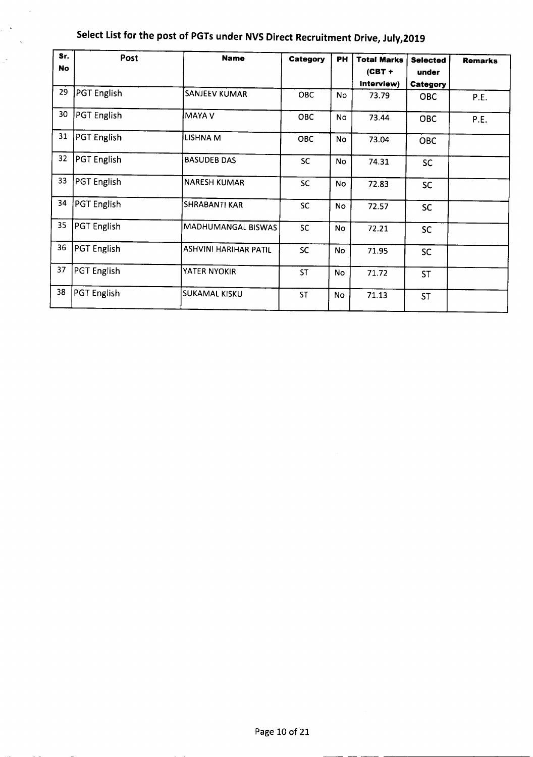| Sr.       | Post               | <b>Name</b>                  |            |           |                    |                 |                |
|-----------|--------------------|------------------------------|------------|-----------|--------------------|-----------------|----------------|
| <b>No</b> |                    |                              | Category   | <b>PH</b> | <b>Total Marks</b> | <b>Selected</b> | <b>Remarks</b> |
|           |                    |                              |            |           | $(CBT +$           | under           |                |
|           |                    |                              |            |           | Interview)         | Category        |                |
| 29        | PGT English        | SANJEEV KUMAR                | <b>OBC</b> | No        | 73.79              | <b>OBC</b>      | P.E.           |
| 30        | <b>PGT English</b> | MAYA V                       | OBC        | <b>No</b> | 73.44              | <b>OBC</b>      | P.E.           |
| 31        | <b>PGT</b> English | LISHNA M                     | <b>OBC</b> | <b>No</b> | 73.04              | <b>OBC</b>      |                |
| 32        | PGT English        | <b>BASUDEB DAS</b>           | <b>SC</b>  | <b>No</b> | 74.31              | <b>SC</b>       |                |
| 33        | PGT English        | <b>NARESH KUMAR</b>          | <b>SC</b>  | <b>No</b> | 72.83              | <b>SC</b>       |                |
| 34        | PGT English        | <b>SHRABANTI KAR</b>         | <b>SC</b>  | No        | 72.57              | <b>SC</b>       |                |
| 35        | PGT English        | MADHUMANGAL BISWAS           | <b>SC</b>  | <b>No</b> | 72.21              | <b>SC</b>       |                |
| 36        | <b>PGT</b> English | <b>ASHVINI HARIHAR PATIL</b> | <b>SC</b>  | No        | 71.95              | <b>SC</b>       |                |
| 37        | PGT English        | YATER NYOKIR                 | <b>ST</b>  | No        | 71.72              | <b>ST</b>       |                |
| 38        | <b>PGT</b> English | SUKAMAL KISKU                | <b>ST</b>  | <b>No</b> | 71.13              | <b>ST</b>       |                |

 $\sim$ 

 $\frac{1}{2}$  ,  $\frac{1}{2}$  $\sim$ 

 $\mathbb{R}^2$ 

--- ---- ------------------------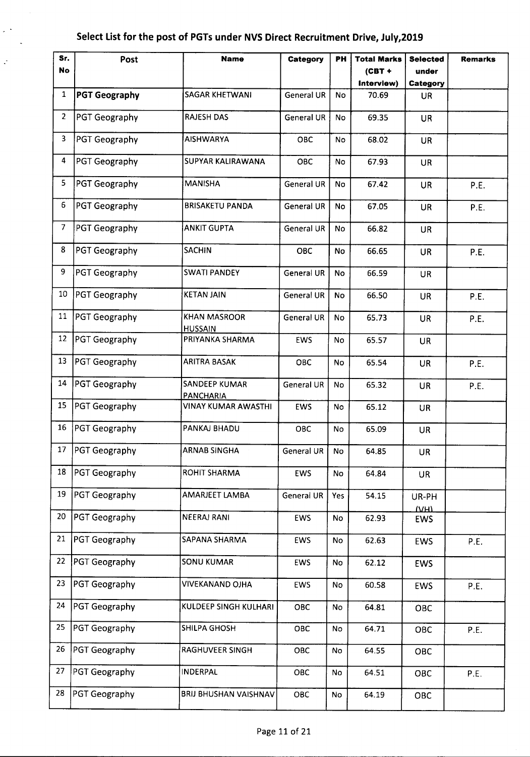$\varphi(\star)$  $\sim$   $\sim$ 

 $\varphi$ 

| Sr.            | Post                 | <b>Name</b>                           | Category          | <b>PH</b>     | <b>Total Marks</b> | <b>Selected</b>         | <b>Remarks</b> |
|----------------|----------------------|---------------------------------------|-------------------|---------------|--------------------|-------------------------|----------------|
| <b>No</b>      |                      |                                       |                   |               | $(CBT +$           | under                   |                |
|                |                      |                                       |                   |               | Interview)         | Category                |                |
| $\mathbf{1}$   | <b>PGT Geography</b> | SAGAR KHETWANI                        | <b>General UR</b> | <b>No</b>     | 70.69              | <b>UR</b>               |                |
| $\overline{2}$ | PGT Geography        | <b>RAJESH DAS</b>                     | <b>General UR</b> | No            | 69.35              | <b>UR</b>               |                |
| 3              | PGT Geography        | <b>AISHWARYA</b>                      | OBC               | <b>No</b>     | 68.02              | <b>UR</b>               |                |
| 4              | PGT Geography        | <b>SUPYAR KALIRAWANA</b>              | OBC               | No            | 67.93              | <b>UR</b>               |                |
| 5              | PGT Geography        | <b>MANISHA</b>                        | <b>General UR</b> | <b>No</b>     | 67.42              | <b>UR</b>               | P.E.           |
| 6              | PGT Geography        | <b>BRISAKETU PANDA</b>                | <b>General UR</b> | No            | 67.05              | <b>UR</b>               | P.E.           |
| $\overline{7}$ | PGT Geography        | <b>ANKIT GUPTA</b>                    | <b>General UR</b> | No            | 66.82              | UR                      |                |
| 8              | PGT Geography        | <b>SACHIN</b>                         | <b>OBC</b>        | No            | 66.65              | <b>UR</b>               | P.E.           |
| 9              | <b>PGT Geography</b> | <b>SWATI PANDEY</b>                   | <b>General UR</b> | No            | 66.59              | <b>UR</b>               |                |
| 10             | PGT Geography        | <b>KETAN JAIN</b>                     | <b>General UR</b> | <b>No</b>     | 66.50              | <b>UR</b>               | P.E.           |
| 11             | PGT Geography        | <b>KHAN MASROOR</b><br><b>HUSSAIN</b> | <b>General UR</b> | <b>No</b>     | 65.73              | <b>UR</b>               | P.E.           |
| 12             | PGT Geography        | PRIYANKA SHARMA                       | <b>EWS</b>        | No.           | 65.57              | <b>UR</b>               |                |
| 13             | PGT Geography        | ARITRA BASAK                          | OBC               | No            | 65.54              | <b>UR</b>               | P.E.           |
| 14             | PGT Geography        | SANDEEP KUMAR<br>PANCHARIA            | General UR        | No            | 65.32              | <b>UR</b>               | P.E.           |
| 15             | PGT Geography        | VINAY KUMAR AWASTHI                   | <b>EWS</b>        | No            | 65.12              | <b>UR</b>               |                |
| 16             | PGT Geography        | PANKAJ BHADU                          | OBC               | No            | 65.09              | <b>UR</b>               |                |
|                | 17   PGT Geography   | <b>ARNAB SINGHA</b>                   | General UR        | No            | 64.85              | UR                      |                |
| 18             | <b>PGT Geography</b> | <b>ROHIT SHARMA</b>                   | EWS               | No            | 64.84              | <b>UR</b>               |                |
| 19             | PGT Geography        | AMARJEET LAMBA                        | <b>General UR</b> | Yes           | 54.15              | UR-PH<br>V <sub>H</sub> |                |
| 20             | PGT Geography        | <b>NEERAJ RANI</b>                    | EWS               | No            | 62.93              | <b>EWS</b>              |                |
| 21             | PGT Geography        | SAPANA SHARMA                         | <b>EWS</b>        | No            | 62.63              | <b>EWS</b>              | P.E.           |
| 22             | PGT Geography        | <b>SONU KUMAR</b>                     | <b>EWS</b>        | No            | 62.12              | <b>EWS</b>              |                |
| 23             | PGT Geography        | <b>VIVEKANAND OJHA</b>                | EWS               | No            | 60.58              | <b>EWS</b>              | P.E.           |
| 24             | PGT Geography        | KULDEEP SINGH KULHARI                 | OBC               | No            | 64.81              | OBC                     |                |
| 25             | PGT Geography        | SHILPA GHOSH                          | OBC               | No            | 64.71              | <b>OBC</b>              | P.E.           |
| 26             | PGT Geography        | RAGHUVEER SINGH                       | OBC               | <b>No</b>     | 64.55              | OBC                     |                |
| 27             | PGT Geography        | <b>INDERPAL</b>                       | OBC               | No            | 64.51              | OBC                     | P.E.           |
| 28             | PGT Geography        | <b>BRIJ BHUSHAN VAISHNAV</b>          | OBC               | $\mathsf{No}$ | 64.19              | OBC                     |                |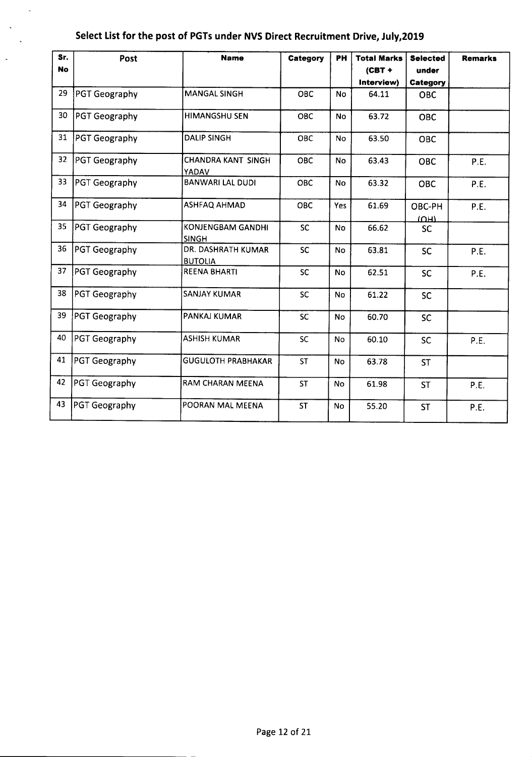$\bar{\mathcal{A}}$ 

 $\bar{\mathcal{L}}$  $\mathcal{L}$ 

 $\ddot{\phantom{a}}$ 

| Sr.<br><b>No</b> | Post                 | <b>Name</b>                              | Category   | PH        | <b>Total Marks</b><br>$(CBT +$ | <b>Selected</b><br>under | <b>Remarks</b> |
|------------------|----------------------|------------------------------------------|------------|-----------|--------------------------------|--------------------------|----------------|
|                  |                      |                                          |            |           | Interview)                     | Category                 |                |
| 29               | <b>PGT Geography</b> | <b>MANGAL SINGH</b>                      | OBC        | <b>No</b> | 64.11                          | <b>OBC</b>               |                |
| 30               | PGT Geography        | HIMANGSHU SEN                            | <b>OBC</b> | <b>No</b> | 63.72                          | <b>OBC</b>               |                |
| 31               | PGT Geography        | <b>DALIP SINGH</b>                       | OBC        | No        | 63.50                          | OBC                      |                |
| 32               | PGT Geography        | <b>CHANDRA KANT SINGH</b><br>YADAV       | OBC        | <b>No</b> | 63.43                          | <b>OBC</b>               | P.E.           |
| 33               | <b>PGT Geography</b> | <b>BANWARI LAL DUDI</b>                  | <b>OBC</b> | <b>No</b> | 63.32                          | <b>OBC</b>               | P.E.           |
| 34               | <b>PGT Geography</b> | ASHFAQ AHMAD                             | <b>OBC</b> | Yes       | 61.69                          | OBC-PH<br>(MH)           | P.E.           |
| 35               | <b>PGT Geography</b> | <b>KONJENGBAM GANDHI</b><br><b>SINGH</b> | <b>SC</b>  | <b>No</b> | 66.62                          | <b>SC</b>                |                |
| 36               | PGT Geography        | DR. DASHRATH KUMAR<br><b>BUTOLIA</b>     | <b>SC</b>  | <b>No</b> | 63.81                          | <b>SC</b>                | P.E.           |
| 37               | PGT Geography        | <b>REENA BHARTI</b>                      | <b>SC</b>  | <b>No</b> | 62.51                          | <b>SC</b>                | P.E.           |
| 38               | <b>PGT Geography</b> | <b>SANJAY KUMAR</b>                      | SC         | No        | 61.22                          | <b>SC</b>                |                |
| 39               | PGT Geography        | PANKAJ KUMAR                             | <b>SC</b>  | No        | 60.70                          | <b>SC</b>                |                |
| 40               | PGT Geography        | <b>ASHISH KUMAR</b>                      | SC         | No        | 60.10                          | <b>SC</b>                | P.E.           |
| 41               | <b>PGT Geography</b> | <b>GUGULOTH PRABHAKAR</b>                | <b>ST</b>  | <b>No</b> | 63.78                          | <b>ST</b>                |                |
| 42               | PGT Geography        | RAM CHARAN MEENA                         | <b>ST</b>  | <b>No</b> | 61.98                          | <b>ST</b>                | P.E.           |
| 43               | PGT Geography        | POORAN MAL MEENA                         | <b>ST</b>  | No        | 55.20                          | <b>ST</b>                | P.E.           |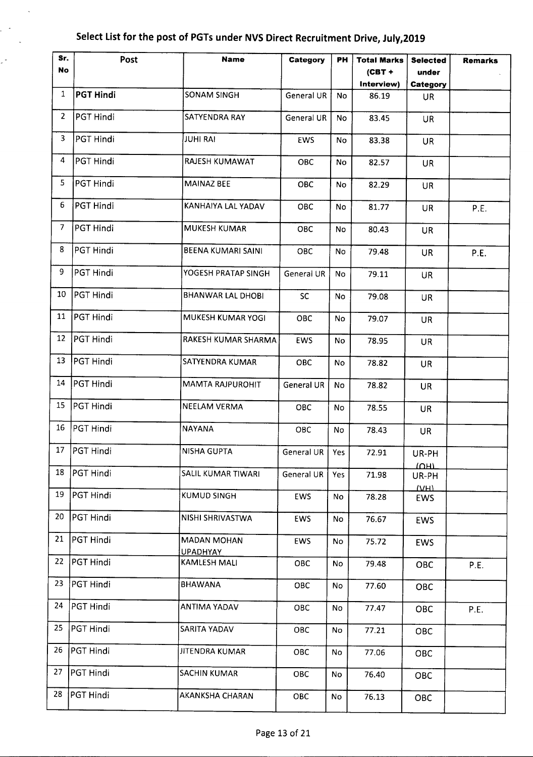$\bar{\mathcal{A}}$ 

 $\mathbb{R}^{\mathbb{Z}_2}$  $\sim$ 

| Sr.            | Post             | <b>Name</b>                           | Category         | PН            | <b>Total Marks</b> | <b>Selected</b>     | <b>Remarks</b> |
|----------------|------------------|---------------------------------------|------------------|---------------|--------------------|---------------------|----------------|
| No             |                  |                                       |                  |               | $(CBT +$           | under               |                |
|                |                  |                                       |                  |               | Interview)         | Category            |                |
| 1              | <b>PGT Hindi</b> | <b>SONAM SINGH</b>                    | General UR       | No            | 86.19              | <b>UR</b>           |                |
| $\overline{2}$ | PGT Hindi        | SATYENDRA RAY                         | General UR       | No            | 83.45              | <b>UR</b>           |                |
| 3              | PGT Hindi        | <b>JUHI RAI</b>                       | EWS              | No            | 83.38              | <b>UR</b>           |                |
| 4              | PGT Hindi        | RAJESH KUMAWAT                        | OBC              | No            | 82.57              | <b>UR</b>           |                |
| 5              | PGT Hindi        | <b>MAINAZ BEE</b>                     | <b>OBC</b>       | No            | 82.29              | UR                  |                |
| 6              | PGT Hindi        | KANHAIYA LAL YADAV                    | OBC              | <b>No</b>     | 81.77              | <b>UR</b>           | P.E.           |
| $\overline{7}$ | PGT Hindi        | <b>MUKESH KUMAR</b>                   | ОВС              | <b>No</b>     | 80.43              | UR                  |                |
| 8              | PGT Hindi        | BEENA KUMARI SAINI                    | OBC              | No            | 79.48              | <b>UR</b>           | P.E.           |
| 9              | PGT Hindi        | YOGESH PRATAP SINGH                   | General UR       | No            | 79.11              | <b>UR</b>           |                |
| 10             | PGT Hindi        | <b>BHANWAR LAL DHOBI</b>              | <b>SC</b>        | No            | 79.08              | <b>UR</b>           |                |
| 11             | PGT Hindi        | MUKESH KUMAR YOGI                     | OBC              | <b>No</b>     | 79.07              | <b>UR</b>           |                |
| 12             | PGT Hindi        | RAKESH KUMAR SHARMA                   | EWS              | <b>No</b>     | 78.95              | <b>UR</b>           |                |
| 13             | PGT Hindi        | SATYENDRA KUMAR                       | <b>OBC</b>       | No            | 78.82              | <b>UR</b>           |                |
| 14             | PGT Hindi        | <b>MAMTA RAJPUROHIT</b>               | General UR       | No            | 78.82              | <b>UR</b>           |                |
| 15             | PGT Hindi        | <b>NEELAM VERMA</b>                   | <b>OBC</b>       | No            | 78.55              | <b>UR</b>           |                |
| 16             | PGT Hindi        | <b>NAYANA</b>                         | <b>OBC</b>       | <b>No</b>     | 78.43              | <b>UR</b>           |                |
| 17             | <b>PGT Hindi</b> | <b>NISHA GUPTA</b>                    | General UR   Yes |               | 72.91              | UR-PH<br>תטוד       |                |
| 18             | PGT Hindi        | SALIL KUMAR TIWARI                    | General UR       | Yes           | 71.98              | UR-PH               |                |
| 19             | PGT Hindi        | KUMUD SINGH                           | EWS              | No            | 78.28              | <b>TANTI</b><br>EWS |                |
| 20             | PGT Hindi        | NISHI SHRIVASTWA                      | EWS              | No            | 76.67              | <b>EWS</b>          |                |
| 21             | PGT Hindi        | <b>MADAN MOHAN</b><br><b>UPADHYAY</b> | <b>EWS</b>       | $\mathsf{No}$ | 75.72              | <b>EWS</b>          |                |
| 22             | PGT Hindi        | <b>KAMLESH MALI</b>                   | OBC              | No            | 79.48              | OBC                 | P.E.           |
| 23             | PGT Hindi        | <b>BHAWANA</b>                        | OBC              | No            | 77.60              | OBC                 |                |
| 24             | PGT Hindi        | ANTIMA YADAV                          | OBC              | No            | 77.47              | OBC                 | P.E.           |
| 25             | PGT Hindi        | SARITA YADAV                          | OBC              | No            | 77.21              | OBC                 |                |
| 26             | PGT Hindi        | JITENDRA KUMAR                        | OBC              | No            | 77.06              | OBC                 |                |
| 27             | PGT Hindi        | <b>SACHIN KUMAR</b>                   | OBC              | No            | 76.40              | <b>OBC</b>          |                |
| 28             | PGT Hindi        | AKANKSHA CHARAN                       | OBC              | No            | 76.13              | OBC                 |                |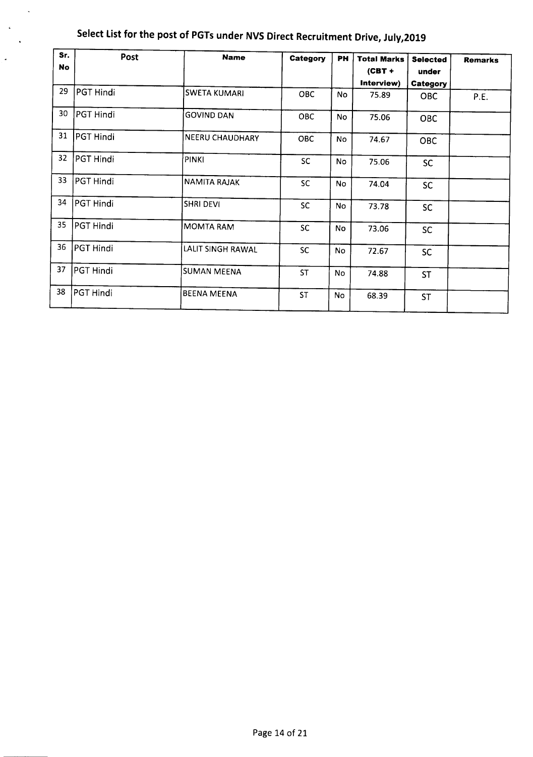| Sr.       | Post      | <b>Name</b>            |            |           |                    |                 |                |
|-----------|-----------|------------------------|------------|-----------|--------------------|-----------------|----------------|
| <b>No</b> |           |                        | Category   | PH        | <b>Total Marks</b> | <b>Selected</b> | <b>Remarks</b> |
|           |           |                        |            |           | $(CBT +$           | under           |                |
|           |           |                        |            |           | Interview)         | Category        |                |
| 29        | PGT Hindi | <b>SWETA KUMARI</b>    | <b>OBC</b> | No        | 75.89              | <b>OBC</b>      | P.E.           |
| 30        | PGT Hindi | <b>GOVIND DAN</b>      | <b>OBC</b> | <b>No</b> | 75.06              | <b>OBC</b>      |                |
| 31        | PGT Hindi | <b>NEERU CHAUDHARY</b> | OBC        | No        | 74.67              | <b>OBC</b>      |                |
| 32        | PGT Hindi | PINKI                  | <b>SC</b>  | No        | 75.06              | <b>SC</b>       |                |
| 33        | PGT Hindi | <b>NAMITA RAJAK</b>    | <b>SC</b>  | <b>No</b> | 74.04              | <b>SC</b>       |                |
| 34        | PGT Hindi | <b>SHRI DEVI</b>       | <b>SC</b>  | <b>No</b> | 73.78              | <b>SC</b>       |                |
| 35        | PGT Hindi | <b>MOMTA RAM</b>       | <b>SC</b>  | <b>No</b> | 73.06              | <b>SC</b>       |                |
| 36        | PGT Hindi | LALIT SINGH RAWAL      | <b>SC</b>  | <b>No</b> | 72.67              | <b>SC</b>       |                |
| 37        | PGT Hindi | <b>SUMAN MEENA</b>     | <b>ST</b>  | No        | 74.88              | <b>ST</b>       |                |
| 38        | PGT Hindi | <b>BEENA MEENA</b>     | <b>ST</b>  | No        | 68.39              | <b>ST</b>       |                |

 $\ddot{\phantom{a}}$ 

 $\langle \bullet \rangle$  $\ddot{\phantom{a}}$ 

 $\overline{\phantom{a}}$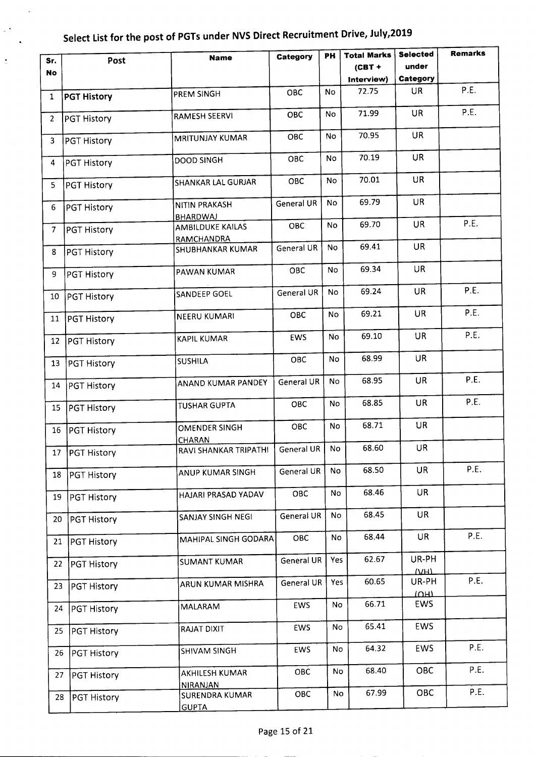$\ddot{\phantom{1}}$ 

 $\sim$   $^{\circ}$ 

 $\ddot{\cdot}$ 

|                 |                    |                                                 |                   | PH        | <b>Total Marks</b> | <b>Selected</b>      | <b>Remarks</b> |
|-----------------|--------------------|-------------------------------------------------|-------------------|-----------|--------------------|----------------------|----------------|
| Sr.             | Post               | <b>Name</b>                                     | Category          |           | $(CBT +$           | under                |                |
| <b>No</b>       |                    |                                                 |                   |           |                    |                      |                |
|                 |                    |                                                 |                   |           | Interview)         | Category             |                |
| $\mathbf{1}$    | <b>PGT History</b> | PREM SINGH                                      | OBC               | No        | 72.75              | <b>UR</b>            | P.E.           |
| $\overline{2}$  | <b>PGT History</b> | <b>RAMESH SEERVI</b>                            | <b>OBC</b>        | No        | 71.99              | <b>UR</b>            | P.E.           |
| $\overline{3}$  | <b>PGT History</b> | <b>MRITUNJAY KUMAR</b>                          | <b>OBC</b>        | No        | 70.95              | <b>UR</b>            |                |
| $\overline{4}$  | PGT History        | <b>DOOD SINGH</b>                               | <b>OBC</b>        | <b>No</b> | 70.19              | <b>UR</b>            |                |
| 5               | PGT History        | <b>SHANKAR LAL GURJAR</b>                       | <b>OBC</b>        | No        | 70.01              | <b>UR</b>            |                |
| 6               | PGT History        | <b>NITIN PRAKASH</b>                            | <b>General UR</b> | No        | 69.79              | UR.                  |                |
|                 |                    | BHARDWAJ<br>AMBILDUKE KAILAS                    | <b>OBC</b>        | <b>No</b> | 69.70              | <b>UR</b>            | P.E.           |
| 7               | PGT History        | <b>RAMCHANDRA</b>                               |                   |           |                    |                      |                |
| 8               | <b>PGT History</b> | SHUBHANKAR KUMAR                                | General UR        | No        | 69.41              | <b>UR</b>            |                |
| 9               | <b>PGT History</b> | <b>PAWAN KUMAR</b>                              | OBC               | <b>No</b> | 69.34              | UR                   |                |
| 10              | <b>PGT History</b> | SANDEEP GOEL                                    | General UR        | <b>No</b> | 69.24              | <b>UR</b>            | P.E.           |
| 11              | PGT History        | NEERU KUMARI                                    | <b>OBC</b>        | No.       | 69.21              | <b>UR</b>            | P.E.           |
| 12 <sup>2</sup> | <b>PGT History</b> | <b>KAPIL KUMAR</b>                              | <b>EWS</b>        | <b>No</b> | 69.10              | <b>UR</b>            | P.E.           |
| 13              | <b>PGT History</b> | <b>SUSHILA</b>                                  | OBC               | No        | 68.99              | <b>UR</b>            |                |
| 14              | <b>PGT History</b> | ANAND KUMAR PANDEY                              | General UR        | No        | 68.95              | <b>UR</b>            | P.E.           |
| 15              | <b>PGT History</b> | TUSHAR GUPTA                                    | <b>OBC</b>        | No        | 68.85              | <b>UR</b>            | P.E.           |
| 16              | <b>PGT History</b> | <b>OMENDER SINGH</b><br><b>CHARAN</b>           | OBC               | <b>No</b> | 68.71              | <b>UR</b>            |                |
| 17              | <b>PGT History</b> | $\,$ RAVI SHANKAR TRIPATHI $\,$ General UR $\,$ |                   | <b>No</b> | 68.60              | UR                   |                |
| 18              | PGT History        | ANUP KUMAR SINGH                                | General UR        | No        | 68.50              | <b>UR</b>            | P.E.           |
| 19              | <b>PGT History</b> | HAJARI PRASAD YADAV                             | OBC               | No        | 68.46              | <b>UR</b>            |                |
| 20              | PGT History        | SANJAY SINGH NEGI                               | General UR        | No        | 68.45              | <b>UR</b>            |                |
| 21              | PGT History        | MAHIPAL SINGH GODARA                            | OBC               | No        | 68.44              | <b>UR</b>            | P.E.           |
| 22              | <b>PGT History</b> | <b>SUMANT KUMAR</b>                             | General UR        | Yes       | 62.67              | UR-PH<br>(MH)        |                |
| 23              | <b>PGT History</b> | ARUN KUMAR MISHRA                               | General UR        | Yes       | 60.65              | UR-PH<br><u>тонт</u> | P.E.           |
| 24              | <b>PGT History</b> | MALARAM                                         | EWS               | No        | 66.71              | <b>EWS</b>           |                |
| 25              | <b>PGT History</b> | RAJAT DIXIT                                     | EWS               | No        | 65.41              | <b>EWS</b>           |                |
| 26              | <b>PGT History</b> | SHIVAM SINGH                                    | <b>EWS</b>        | No        | 64.32              | <b>EWS</b>           | P.E.           |
| 27              | PGT History        | <b>AKHILESH KUMAR</b>                           | OBC               | No        | 68.40              | <b>OBC</b>           | P.E.           |
| 28              | PGT History        | <b>NIRANJAN</b><br>SURENDRA KUMAR               | OBC               | No        | 67.99              | <b>OBC</b>           | P.E.           |
|                 |                    | <b>GUPTA</b>                                    |                   |           |                    |                      |                |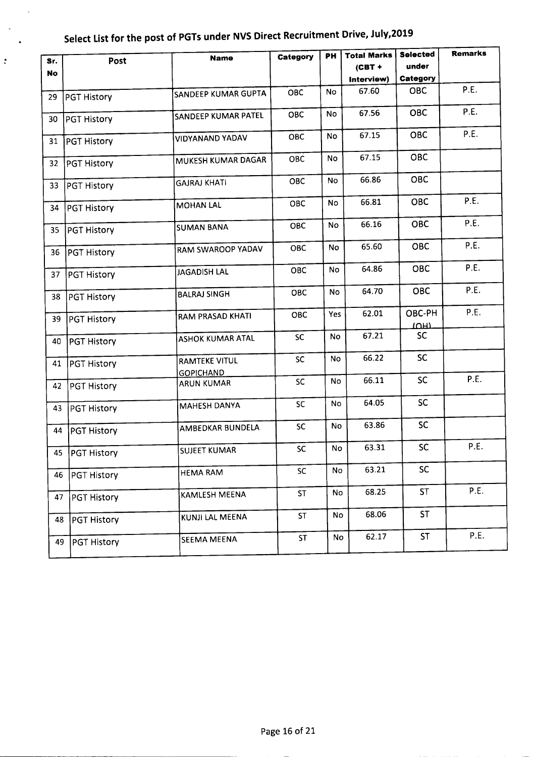$\ddot{\phantom{a}}$ 

 $\hat{\mathbb{D}}$ 

| Sr.       | Post               | <b>Name</b>                           | Category   | PH        | <b>Total Marks</b> | <b>Selected</b> | <b>Remarks</b> |
|-----------|--------------------|---------------------------------------|------------|-----------|--------------------|-----------------|----------------|
| <b>No</b> |                    |                                       |            |           | $(CBT +$           | under           |                |
|           |                    |                                       |            |           | Interview)         | Category        |                |
| 29        | <b>PGT History</b> | SANDEEP KUMAR GUPTA                   | <b>OBC</b> | No        | 67.60              | <b>OBC</b>      | P.E.           |
| 30        | <b>PGT History</b> | SANDEEP KUMAR PATEL                   | OBC        | No        | 67.56              | <b>OBC</b>      | P.E.           |
| 31        | PGT History        | VIDYANAND YADAV                       | OBC        | <b>No</b> | 67.15              | <b>OBC</b>      | P.E.           |
| 32        | PGT History        | MUKESH KUMAR DAGAR                    | <b>OBC</b> | No        | 67.15              | <b>OBC</b>      |                |
| 33        | <b>PGT History</b> | <b>GAJRAJ KHATI</b>                   | <b>OBC</b> | <b>No</b> | 66.86              | <b>OBC</b>      |                |
| 34        | <b>PGT History</b> | <b>MOHAN LAL</b>                      | <b>OBC</b> | No        | 66.81              | <b>OBC</b>      | P.E.           |
| 35        | <b>PGT History</b> | <b>SUMAN BANA</b>                     | OBC        | No        | 66.16              | <b>OBC</b>      | P.E.           |
| 36        | <b>PGT History</b> | RAM SWAROOP YADAV                     | <b>OBC</b> | No        | 65.60              | <b>OBC</b>      | P.E.           |
| 37        | <b>PGT History</b> | JAGADISH LAL                          | OBC        | No        | 64.86              | <b>OBC</b>      | P.E.           |
| 38        | <b>PGT History</b> | <b>BALRAJ SINGH</b>                   | <b>OBC</b> | No.       | 64.70              | <b>OBC</b>      | P.E.           |
| 39        | <b>PGT History</b> | RAM PRASAD KHATI                      | OBC        | Yes       | 62.01              | OBC-PH<br>וחטו  | P.E.           |
| 40        | PGT History        | ASHOK KUMAR ATAL                      | <b>SC</b>  | <b>No</b> | 67.21              | <b>SC</b>       |                |
| 41        | <b>PGT History</b> | <b>RAMTEKE VITUL</b>                  | <b>SC</b>  | No        | 66.22              | <b>SC</b>       |                |
| 42        | <b>PGT History</b> | <b>GOPICHAND</b><br><b>ARUN KUMAR</b> | <b>SC</b>  | <b>No</b> | 66.11              | <b>SC</b>       | P.E.           |
| 43        | PGT History        | MAHESH DANYA                          | <b>SC</b>  | <b>No</b> | 64.05              | <b>SC</b>       |                |
| 44        | <b>PGT History</b> | AMBEDKAR BUNDELA                      | <b>SC</b>  | No        | 63.86              | <b>SC</b>       |                |
|           | 45   PGT History   | <b>SUJEET KUMAR</b>                   | <b>SC</b>  | No        | 63.31              | <b>SC</b>       | P.E.           |
| 46        | <b>PGT History</b> | <b>HEMA RAM</b>                       | SC         | No        | 63.21              | <b>SC</b>       |                |
| 47        | PGT History        | KAMLESH MEENA                         | <b>ST</b>  | No        | 68.25              | <b>ST</b>       | P.E.           |
| 48        | <b>PGT History</b> | KUNJI LAL MEENA                       | <b>ST</b>  | No        | 68.06              | <b>ST</b>       |                |
| 49        | PGT History        | <b>SEEMA MEENA</b>                    | <b>ST</b>  | No        | 62.17              | ST              | P.E.           |
|           |                    |                                       |            |           |                    |                 |                |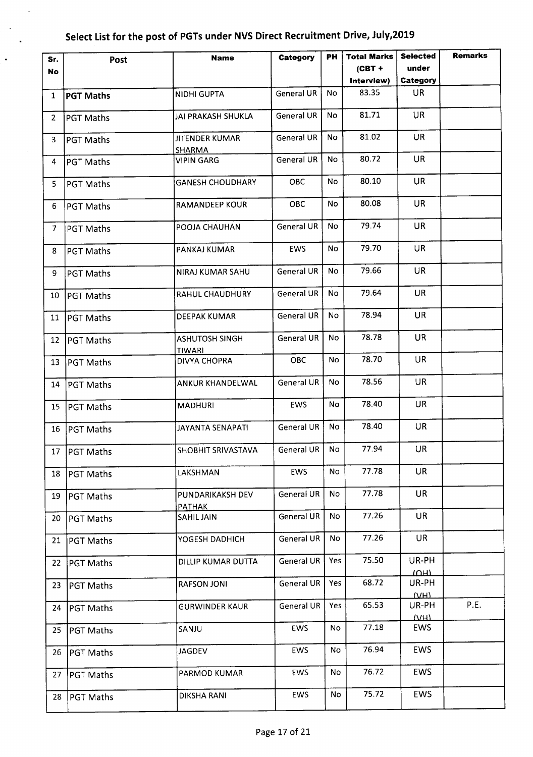l,

 $\blacksquare$ 

| Sr.            | Post             | <b>Name</b>                            | Category        | <b>PH</b> | <b>Total Marks</b> | <b>Selected</b> | <b>Remarks</b> |
|----------------|------------------|----------------------------------------|-----------------|-----------|--------------------|-----------------|----------------|
| No.            |                  |                                        |                 |           | $(CBT +$           | under           |                |
|                |                  |                                        |                 |           | Interview)         | Category        |                |
| $\mathbf{1}$   | <b>PGT Maths</b> | <b>NIDHI GUPTA</b>                     | General UR      | No        | 83.35              | <b>UR</b>       |                |
| $\overline{2}$ | <b>PGT Maths</b> | JAI PRAKASH SHUKLA                     | General UR      | No        | 81.71              | <b>UR</b>       |                |
| 3              | PGT Maths        | <b>JITENDER KUMAR</b><br><b>SHARMA</b> | General UR      | <b>No</b> | 81.02              | <b>UR</b>       |                |
| 4              | PGT Maths        | <b>VIPIN GARG</b>                      | General UR      | No        | 80.72              | <b>UR</b>       |                |
| 5              | PGT Maths        | <b>GANESH CHOUDHARY</b>                | <b>OBC</b>      | No        | 80.10              | <b>UR</b>       |                |
| 6              | <b>PGT Maths</b> | <b>RAMANDEEP KOUR</b>                  | <b>OBC</b>      | <b>No</b> | 80.08              | <b>UR</b>       |                |
| $\mathcal{I}$  | <b>PGT Maths</b> | POOJA CHAUHAN                          | General UR      | No        | 79.74              | <b>UR</b>       |                |
| 8              | <b>PGT Maths</b> | PANKAJ KUMAR                           | EWS             | No        | 79.70              | UR.             |                |
| 9              | PGT Maths        | NIRAJ KUMAR SAHU                       | General UR      | No        | 79.66              | UR.             |                |
| 10             | <b>PGT Maths</b> | RAHUL CHAUDHURY                        | General UR      | <b>No</b> | 79.64              | <b>UR</b>       |                |
| 11             | PGT Maths        | <b>DEEPAK KUMAR</b>                    | General UR      | No.       | 78.94              | <b>UR</b>       |                |
| 12             | <b>PGT Maths</b> | <b>ASHUTOSH SINGH</b><br><u>TIWARI</u> | General UR      | <b>No</b> | 78.78              | <b>UR</b>       |                |
| 13             | PGT Maths        | <b>DIVYA CHOPRA</b>                    | <b>OBC</b>      | No.       | 78.70              | <b>UR</b>       |                |
| 14             | <b>PGT Maths</b> | ANKUR KHANDELWAL                       | General UR      | No.       | 78.56              | <b>UR</b>       |                |
| 15             | PGT Maths        | <b>MADHURI</b>                         | EWS             | N٥        | 78.40              | <b>UR</b>       |                |
| 16             | PGT Maths        | JAYANTA SENAPATI                       | General UR      | No        | 78.40              | <b>UR</b>       |                |
|                | 17   PGT Maths   | SHOBHIT SRIVASTAVA                     | General UR   No |           | 77.94              | UR              |                |
| 18             | <b>PGT Maths</b> | LAKSHMAN                               | EWS             | No        | 77.78              | <b>UR</b>       |                |
| 19             | PGT Maths        | PUNDARIKAKSH DEV<br>PATHAK             | General UR      | No.       | 77.78              | <b>UR</b>       |                |
| 20             | <b>PGT Maths</b> | SAHIL JAIN                             | General UR      | No        | 77.26              | <b>UR</b>       |                |
| 21             | PGT Maths        | YOGESH DADHICH                         | General UR      | No.       | 77.26              | <b>UR</b>       |                |
| 22             | <b>PGT Maths</b> | DILLIP KUMAR DUTTA                     | General UR      | Yes       | 75.50              | UR-PH<br>ाणमा   |                |
| 23             | <b>PGT Maths</b> | <b>RAFSON JONI</b>                     | General UR      | Yes       | 68.72              | UR-PH<br>$V$ H) |                |
| 24             | <b>PGT Maths</b> | <b>GURWINDER KAUR</b>                  | General UR      | Yes       | 65.53              | UR-PH<br>MHL    | P.E.           |
| 25             | <b>PGT Maths</b> | SANJU                                  | <b>EWS</b>      | No        | 77.18              | <b>EWS</b>      |                |
| 26             | PGT Maths        | <b>JAGDEV</b>                          | EWS             | No        | 76.94              | <b>EWS</b>      |                |
| 27             | PGT Maths        | PARMOD KUMAR                           | EWS             | No        | 76.72              | <b>EWS</b>      |                |
| 28             | PGT Maths        | <b>DIKSHA RANI</b>                     | <b>EWS</b>      | No        | 75.72              | <b>EWS</b>      |                |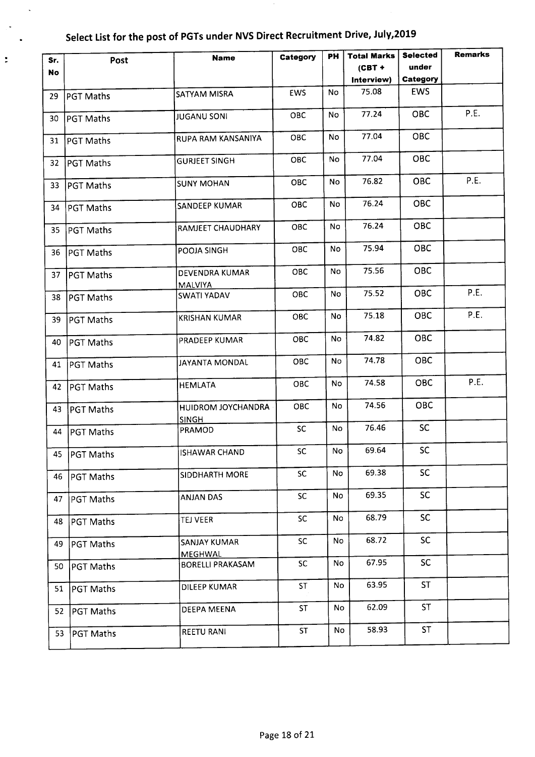$\ddot{\phantom{0}}$ 

j.

 $\ddot{\phantom{a}}$ 

| Sr. | Post             | <b>Name</b>                        | Category   | PН  | <b>Total Marks</b> | <b>Selected</b> | <b>Remarks</b> |
|-----|------------------|------------------------------------|------------|-----|--------------------|-----------------|----------------|
| No  |                  |                                    |            |     | $(CBT +$           | under           |                |
|     |                  |                                    |            |     | Interview)         | Category        |                |
| 29  | <b>PGT Maths</b> | <b>SATYAM MISRA</b>                | <b>EWS</b> | No  | 75.08              | <b>EWS</b>      |                |
| 30. | PGT Maths        | <b>JUGANU SONI</b>                 | <b>OBC</b> | No  | 77.24              | OBC             | P.E.           |
| 31  | PGT Maths        | RUPA RAM KANSANIYA                 | <b>OBC</b> | No  | 77.04              | OBC             |                |
| 32  | PGT Maths        | <b>GURJEET SINGH</b>               | OBC        | No  | 77.04              | OBC             |                |
| 33  | PGT Maths        | <b>SUNY MOHAN</b>                  | <b>OBC</b> | No  | 76.82              | <b>OBC</b>      | P.E.           |
| 34  | PGT Maths        | <b>SANDEEP KUMAR</b>               | <b>OBC</b> | No  | 76.24              | <b>OBC</b>      |                |
| 35  | PGT Maths        | RAMJEET CHAUDHARY                  | OBC        | No  | 76.24              | <b>OBC</b>      |                |
| 36  | PGT Maths        | POOJA SINGH                        | ОВС        | No  | 75.94              | OBC             |                |
| 37  | PGT Maths        | DEVENDRA KUMAR<br><b>MALVIYA</b>   | OBC        | No  | 75.56              | <b>OBC</b>      |                |
| 38  | PGT Maths        | SWATI YADAV                        | OBC        | No  | 75.52              | OBC             | P.E.           |
| 39  | <b>PGT Maths</b> | <b>KRISHAN KUMAR</b>               | OBC        | No  | 75.18              | <b>OBC</b>      | P.E.           |
| 40  | <b>PGT Maths</b> | <b>PRADEEP KUMAR</b>               | <b>OBC</b> | No. | 74.82              | <b>OBC</b>      |                |
| 41  | <b>PGT Maths</b> | JAYANTA MONDAL                     | <b>OBC</b> | No  | 74.78              | <b>OBC</b>      |                |
| 42  | <b>PGT Maths</b> | <b>HEMLATA</b>                     | OBC        | No  | 74.58              | <b>OBC</b>      | P.E.           |
| 43  | <b>PGT Maths</b> | HUIDROM JOYCHANDRA<br><b>SINGH</b> | <b>OBC</b> | No  | 74.56              | OBC             |                |
| 44  | <b>PGT Maths</b> | PRAMOD                             | <b>SC</b>  | No  | 76.46              | <b>SC</b>       |                |
|     | 45   PGT Maths   | ISHAWAR CHAND                      | SC         | No  | 69.64              | SC              |                |
| 46  | <b>PGT Maths</b> | SIDDHARTH MORE                     | <b>SC</b>  | No  | 69.38              | <b>SC</b>       |                |
| 47  | <b>PGT Maths</b> | <b>ANJAN DAS</b>                   | <b>SC</b>  | No  | 69.35              | SC.             |                |
| 48  | <b>PGT Maths</b> | <b>TEJ VEER</b>                    | SC         | No  | 68.79              | <b>SC</b>       |                |
| 49  | <b>PGT Maths</b> | SANJAY KUMAR<br><b>MEGHWAL</b>     | <b>SC</b>  | No  | 68.72              | <b>SC</b>       |                |
| 50  | PGT Maths        | BORELLI PRAKASAM                   | <b>SC</b>  | No  | 67.95              | <b>SC</b>       |                |
| 51  | PGT Maths        | DILEEP KUMAR                       | <b>ST</b>  | No  | 63.95              | <b>ST</b>       |                |
| 52  | <b>PGT Maths</b> | DEEPA MEENA                        | <b>ST</b>  | No  | 62.09              | <b>ST</b>       |                |
| 53  | <b>PGT Maths</b> | <b>REETU RANI</b>                  | <b>ST</b>  | No  | 58.93              | <b>ST</b>       |                |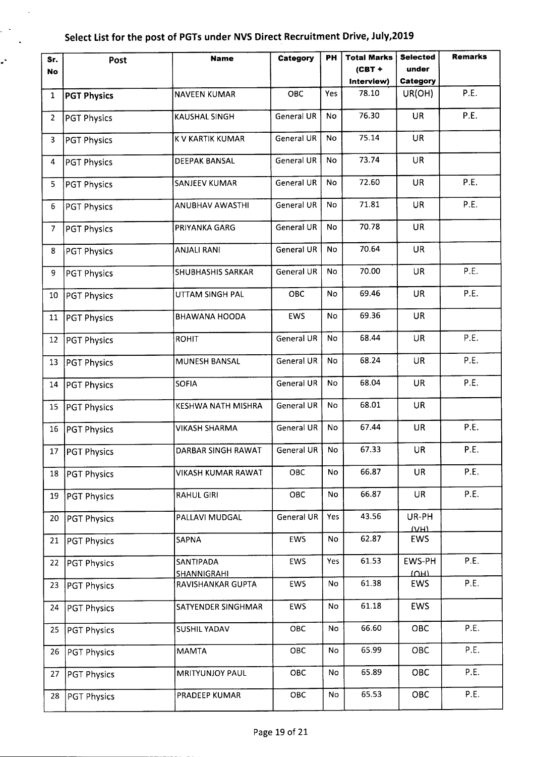$\ddot{\phantom{a}}$ 

 $\mathbb{R}^2$  $\sim 10^7$ 

÷,

| Sr.            | Post               | <b>Name</b>                     | Category          | PН        | <b>Total Marks</b> | <b>Selected</b>            | <b>Remarks</b> |
|----------------|--------------------|---------------------------------|-------------------|-----------|--------------------|----------------------------|----------------|
| <b>No</b>      |                    |                                 |                   |           | $(CBT +$           | under                      |                |
|                |                    |                                 |                   |           | Interview)         | Category                   |                |
| $\mathbf{1}$   | <b>PGT Physics</b> | <b>NAVEEN KUMAR</b>             | OBC               | Yes       | 78.10              | UR(OH)                     | P.E.           |
| $\overline{2}$ | <b>PGT Physics</b> | <b>KAUSHAL SINGH</b>            | <b>General UR</b> | No        | 76.30              | <b>UR</b>                  | P.E.           |
| 3              | <b>PGT Physics</b> | K V KARTIK KUMAR                | <b>General UR</b> | No        | 75.14              | <b>UR</b>                  |                |
| 4              | <b>PGT Physics</b> | <b>DEEPAK BANSAL</b>            | <b>General UR</b> | No        | 73.74              | <b>UR</b>                  |                |
| 5              | <b>PGT Physics</b> | SANJEEV KUMAR                   | General UR        | No        | 72.60              | <b>UR</b>                  | P.E.           |
| 6              | <b>PGT Physics</b> | ANUBHAV AWASTHI                 | General UR        | No        | 71.81              | UR                         | P.E.           |
| $\mathcal{I}$  | <b>PGT Physics</b> | PRIYANKA GARG                   | General UR        | <b>No</b> | 70.78              | <b>UR</b>                  |                |
| 8              | <b>PGT Physics</b> | <b>ANJALI RANI</b>              | General UR        | No        | 70.64              | UR                         |                |
| 9              | <b>PGT Physics</b> | <b>SHUBHASHIS SARKAR</b>        | General UR        | No        | 70.00              | UR                         | P.E.           |
| 10             | <b>PGT Physics</b> | UTTAM SINGH PAL                 | <b>OBC</b>        | No        | 69.46              | <b>UR</b>                  | P.E.           |
| 11             | <b>PGT Physics</b> | <b>BHAWANA HOODA</b>            | <b>EWS</b>        | No        | 69.36              | <b>UR</b>                  |                |
| 12             | PGT Physics        | <b>ROHIT</b>                    | General UR        | <b>No</b> | 68.44              | UR                         | P.E.           |
| 13             | <b>PGT Physics</b> | MUNESH BANSAL                   | General UR        | No        | 68.24              | <b>UR</b>                  | P.E.           |
| 14             | <b>PGT Physics</b> | <b>SOFIA</b>                    | <b>General UR</b> | No        | 68.04              | <b>UR</b>                  | P.E.           |
| 15             | <b>PGT Physics</b> | KESHWA NATH MISHRA              | General UR        | No        | 68.01              | <b>UR</b>                  |                |
| 16             | <b>PGT Physics</b> | <b>VIKASH SHARMA</b>            | General UR        | No        | 67.44              | <b>UR</b>                  | P.E.           |
|                | 17   PGT Physics   | DARBAR SINGH RAWAT              | General UR        | No        | 67.33              | <b>UR</b>                  | P.E.           |
| 18             | <b>PGT Physics</b> | VIKASH KUMAR RAWAT              | OBC               | No        | 66.87              | <b>UR</b>                  | P.E.           |
| 19             | <b>PGT Physics</b> | <b>RAHUL GIRI</b>               | OBC               | No        | 66.87              | <b>UR</b>                  | P.E.           |
| 20             | <b>PGT Physics</b> | PALLAVI MUDGAL                  | <b>General UR</b> | Yes       | 43.56              | UR-PH<br>VHH               |                |
| 21             | <b>PGT Physics</b> | SAPNA                           | <b>EWS</b>        | No        | 62.87              | EWS                        |                |
| 22             | <b>PGT Physics</b> | SANTIPADA<br><b>SHANNIGRAHI</b> | EWS               | Yes       | 61.53              | EWS-PH<br>$\overline{10H}$ | P.E.           |
| 23             | PGT Physics        | RAVISHANKAR GUPTA               | <b>EWS</b>        | No        | 61.38              | EWS                        | P.E.           |
| 24             | <b>PGT Physics</b> | SATYENDER SINGHMAR              | EWS               | No        | 61.18              | <b>EWS</b>                 |                |
| 25             | <b>PGT Physics</b> | SUSHIL YADAV                    | ОВС               | No        | 66.60              | OBC                        | P.E.           |
| 26             | <b>PGT Physics</b> | <b>MAMTA</b>                    | OBC               | No        | 65.99              | OBC                        | P.E.           |
| 27             | <b>PGT Physics</b> | <b>MRITYUNJOY PAUL</b>          | OBC               | No        | 65.89              | OBC                        | P.E.           |
| 28             | <b>PGT Physics</b> | PRADEEP KUMAR                   | OBC               | No        | 65.53              | OBC                        | P.E.           |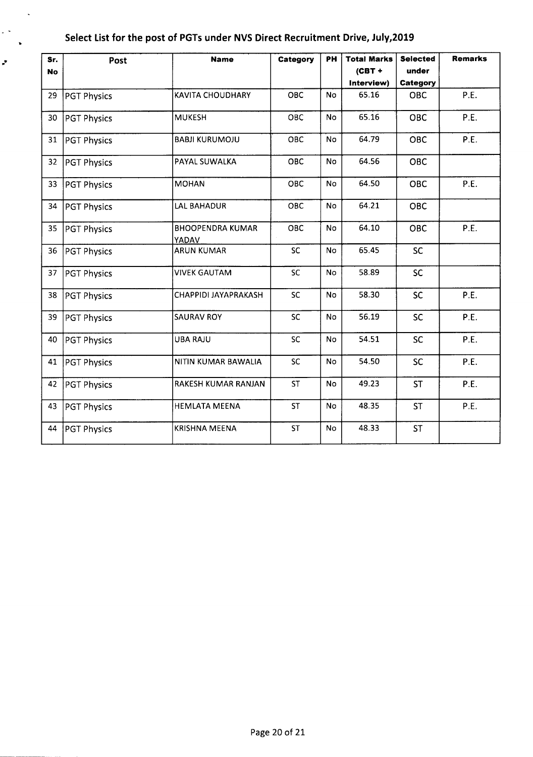$\ddot{\phantom{a}}$ 

 $\epsilon$  .  $\ddot{\phantom{a}}$ 

ë,

| Sr.<br><b>No</b> | Post               | <b>Name</b>                      | Category   | <b>PH</b> | <b>Total Marks</b><br>$(CBT +$ | <b>Selected</b><br>under | <b>Remarks</b> |
|------------------|--------------------|----------------------------------|------------|-----------|--------------------------------|--------------------------|----------------|
|                  |                    |                                  |            |           | Interview)                     | Category                 |                |
| 29               | <b>PGT Physics</b> | KAVITA CHOUDHARY                 | <b>OBC</b> | <b>No</b> | 65.16                          | <b>OBC</b>               | P.E.           |
| 30               | <b>PGT Physics</b> | <b>MUKESH</b>                    | OBC        | <b>No</b> | 65.16                          | <b>OBC</b>               | P.E.           |
| 31               | <b>PGT Physics</b> | <b>BABJI KURUMOJU</b>            | OBC        | <b>No</b> | 64.79                          | <b>OBC</b>               | P.E.           |
| 32               | <b>PGT Physics</b> | PAYAL SUWALKA                    | OBC        | No        | 64.56                          | <b>OBC</b>               |                |
| 33               | <b>PGT Physics</b> | <b>MOHAN</b>                     | OBC        | <b>No</b> | 64.50                          | OBC                      | P.E.           |
| 34               | <b>PGT Physics</b> | <b>LAL BAHADUR</b>               | <b>OBC</b> | No        | 64.21                          | <b>OBC</b>               |                |
| 35               | <b>PGT Physics</b> | <b>BHOOPENDRA KUMAR</b><br>YADAV | OBC        | No        | 64.10                          | OBC                      | P.E.           |
| 36               | <b>PGT Physics</b> | <b>ARUN KUMAR</b>                | <b>SC</b>  | <b>No</b> | 65.45                          | <b>SC</b>                |                |
| 37               | <b>PGT Physics</b> | <b>VIVEK GAUTAM</b>              | <b>SC</b>  | <b>No</b> | 58.89                          | <b>SC</b>                |                |
| 38               | <b>PGT Physics</b> | CHAPPIDI JAYAPRAKASH             | <b>SC</b>  | No        | 58.30                          | <b>SC</b>                | P.E.           |
| 39               | <b>PGT Physics</b> | <b>SAURAV ROY</b>                | SC         | No        | 56.19                          | <b>SC</b>                | P.E.           |
| 40               | <b>PGT Physics</b> | <b>UBA RAJU</b>                  | <b>SC</b>  | <b>No</b> | 54.51                          | <b>SC</b>                | P.E.           |
| 41               | <b>PGT Physics</b> | NITIN KUMAR BAWALIA              | SC         | No        | 54.50                          | <b>SC</b>                | P.E.           |
| 42               | <b>PGT Physics</b> | RAKESH KUMAR RANJAN              | <b>ST</b>  | <b>No</b> | 49.23                          | <b>ST</b>                | P.E.           |
| 43               | <b>PGT Physics</b> | <b>HEMLATA MEENA</b>             | <b>ST</b>  | <b>No</b> | 48.35                          | <b>ST</b>                | P.E.           |
| 44               | <b>PGT Physics</b> | <b>KRISHNA MEENA</b>             | <b>ST</b>  | No        | 48.33                          | <b>ST</b>                |                |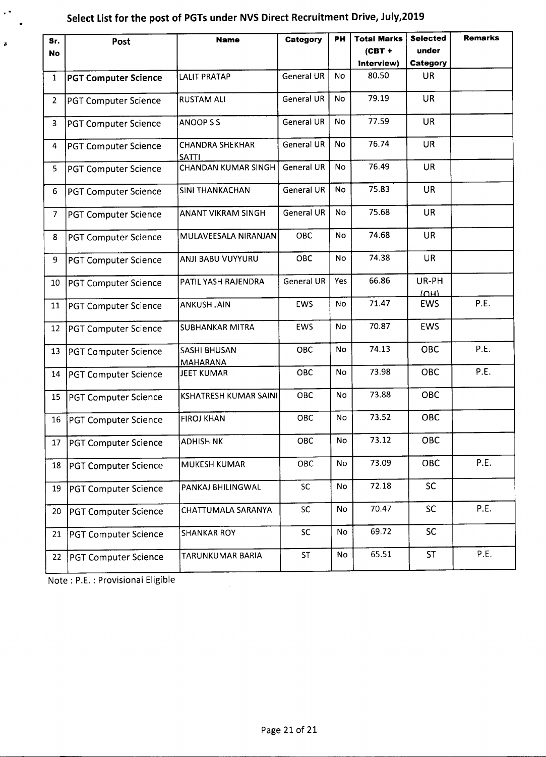| Sr.            | Post                        | <b>Name</b>                            | Category          | PH        | <b>Total Marks</b> | <b>Selected</b>          | <b>Remarks</b> |
|----------------|-----------------------------|----------------------------------------|-------------------|-----------|--------------------|--------------------------|----------------|
| No             |                             |                                        |                   |           | $(CBT +$           | under                    |                |
|                |                             |                                        |                   |           | Interview)         | Category                 |                |
| $\mathbf{1}$   | <b>PGT Computer Science</b> | <b>LALIT PRATAP</b>                    | <b>General UR</b> | <b>No</b> | 80.50              | <b>UR</b>                |                |
| $\overline{2}$ | <b>PGT Computer Science</b> | <b>RUSTAM ALI</b>                      | <b>General UR</b> | No        | 79.19              | UR                       |                |
| 3              | <b>PGT Computer Science</b> | ANOOP S S                              | General UR        | No        | 77.59              | <b>UR</b>                |                |
| 4              | <b>PGT Computer Science</b> | <b>CHANDRA SHEKHAR</b><br><b>SATTI</b> | General UR        | No        | 76.74              | <b>UR</b>                |                |
| 5              | <b>PGT Computer Science</b> | <b>CHANDAN KUMAR SINGH</b>             | <b>General UR</b> | <b>No</b> | 76.49              | <b>UR</b>                |                |
| 6              | <b>PGT Computer Science</b> | <b>SINI THANKACHAN</b>                 | General UR        | <b>No</b> | 75.83              | <b>UR</b>                |                |
| $\mathcal{I}$  | <b>PGT Computer Science</b> | ANANT VIKRAM SINGH                     | <b>General UR</b> | No        | 75.68              | <b>UR</b>                |                |
| 8              | <b>PGT Computer Science</b> | MULAVEESALA NIRANJAN                   | OBC               | No        | 74.68              | <b>UR</b>                |                |
| 9              | <b>PGT Computer Science</b> | ANJI BABU VUYYURU                      | OBC               | No        | 74.38              | <b>UR</b>                |                |
| 10             | <b>PGT Computer Science</b> | PATIL YASH RAJENDRA                    | <b>General UR</b> | Yes       | 66.86              | UR-PH<br>IM <sub>1</sub> |                |
| 11             | <b>PGT Computer Science</b> | <b>ANKUSH JAIN</b>                     | <b>EWS</b>        | No        | 71.47              | EWS                      | P.E.           |
| 12             | <b>PGT Computer Science</b> | <b>SUBHANKAR MITRA</b>                 | EWS               | No.       | 70.87              | <b>EWS</b>               |                |
| 13             | <b>PGT Computer Science</b> | SASHI BHUSAN<br><b>MAHARANA</b>        | OBC               | No.       | 74.13              | <b>OBC</b>               | P.E.           |
| 14             | <b>PGT Computer Science</b> | <b>JEET KUMAR</b>                      | <b>OBC</b>        | No        | 73.98              | OBC                      | P.E.           |
| 15             | <b>PGT Computer Science</b> | <b>KSHATRESH KUMAR SAINI</b>           | OBC               | No        | 73.88              | <b>OBC</b>               |                |
| 16             | PGT Computer Science        | <b>FIROJ KHAN</b>                      | OBC               | No        | 73.52              | <b>OBC</b>               |                |
| 17             | <b>PGT Computer Science</b> | <b>ADHISH NK</b>                       | OBC               | No        | 73.12              | OBC                      |                |
| 18             | <b>PGT Computer Science</b> | <b>MUKESH KUMAR</b>                    | OBC               | No        | 73.09              | OBC                      | P.E.           |
| 19             | <b>PGT Computer Science</b> | PANKAJ BHILINGWAL                      | <b>SC</b>         | No        | 72.18              | SC                       |                |
| 20             | <b>PGT Computer Science</b> | CHATTUMALA SARANYA                     | SC                | No        | 70.47              | <b>SC</b>                | P.E.           |
| 21             | <b>PGT Computer Science</b> | <b>SHANKAR ROY</b>                     | SC                | No        | 69.72              | <b>SC</b>                |                |
| 22             | <b>PGT Computer Science</b> | TARUNKUMAR BARIA                       | ST                | No        | 65.51              | <b>ST</b>                | P.E.           |

Note: P.E. : Provisional Eligible

·.

 $\boldsymbol{z}$